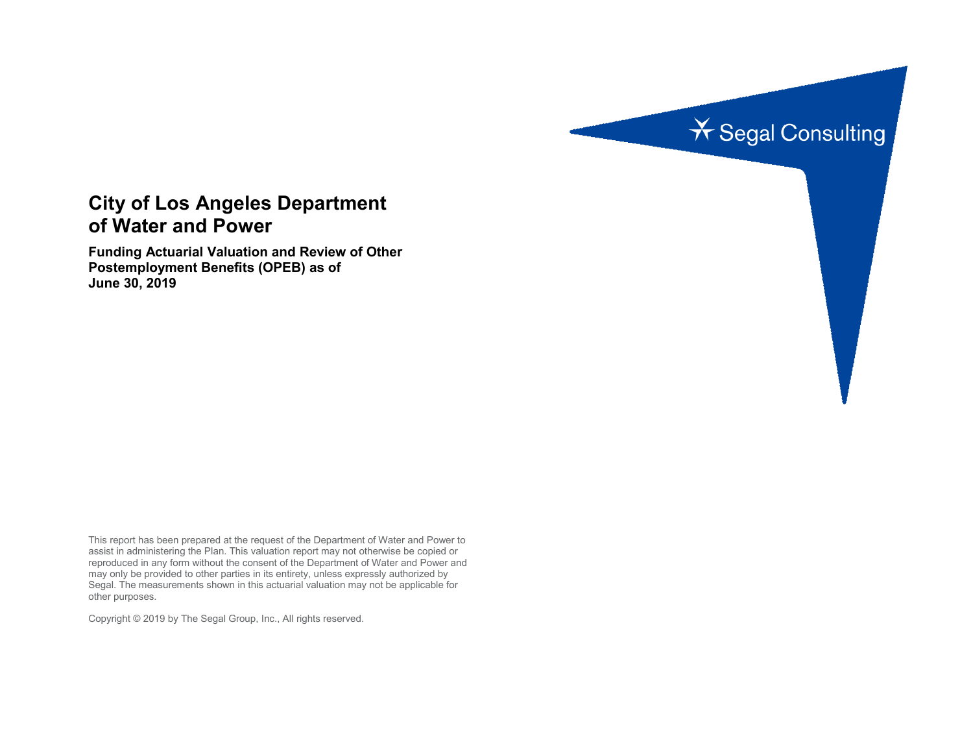

# **City of Los Angeles Department of Water and Power**

**Funding Actuarial Valuation and Review of Other Postemployment Benefits (OPEB) as of June 30, 2019**

This report has been prepared at the request of the Department of Water and Power to assist in administering the Plan. This valuation report may not otherwise be copied or reproduced in any form without the consent of the Department of Water and Power and may only be provided to other parties in its entirety, unless expressly authorized by Segal. The measurements shown in this actuarial valuation may not be applicable for other purposes.

Copyright © 2019 by The Segal Group, Inc., All rights reserved.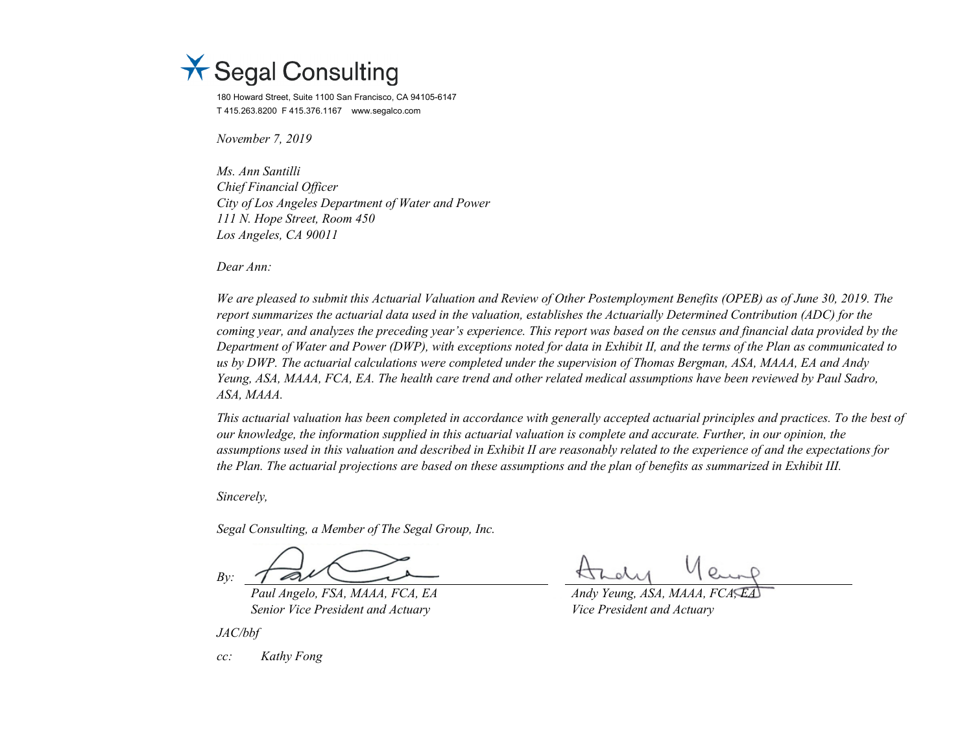

180 Howard Street, Suite 1100 San Francisco, CA 94105-6147 T 415.263.8200 F 415.376.1167 www.segalco.com

*November 7, 2019*

*Ms. Ann Santilli Chief Financial Officer City of Los Angeles Department of Water and Power 111 N. Hope Street, Room 450 Los Angeles, CA 90011*

*Dear Ann:*

*We are pleased to submit this Actuarial Valuation and Review of Other Postemployment Benefits (OPEB) as of June 30, 2019. The report summarizes the actuarial data used in the valuation, establishes the Actuarially Determined Contribution (ADC) for the coming year, and analyzes the preceding year's experience. This report was based on the census and financial data provided by the Department of Water and Power (DWP), with exceptions noted for data in Exhibit II, and the terms of the Plan as communicated to us by DWP. The actuarial calculations were completed under the supervision of Thomas Bergman, ASA, MAAA, EA and Andy Yeung, ASA, MAAA, FCA, EA. The health care trend and other related medical assumptions have been reviewed by Paul Sadro, ASA, MAAA.*

*This actuarial valuation has been completed in accordance with generally accepted actuarial principles and practices. To the best of our knowledge, the information supplied in this actuarial valuation is complete and accurate. Further, in our opinion, the assumptions used in this valuation and described in Exhibit II are reasonably related to the experience of and the expectations for the Plan. The actuarial projections are based on these assumptions and the plan of benefits as summarized in Exhibit III.*

*Sincerely,*

*Segal Consulting, a Member of The Segal Group, Inc.*

*By:*

*Paul Angelo, FSA, MAAA, FCA, EA Andy Yeung, ASA, MAAA, FCA, EA Senior Vice President and Actuary Vice President and Actuary* 

*JAC/bbf*

*cc: Kathy Fong*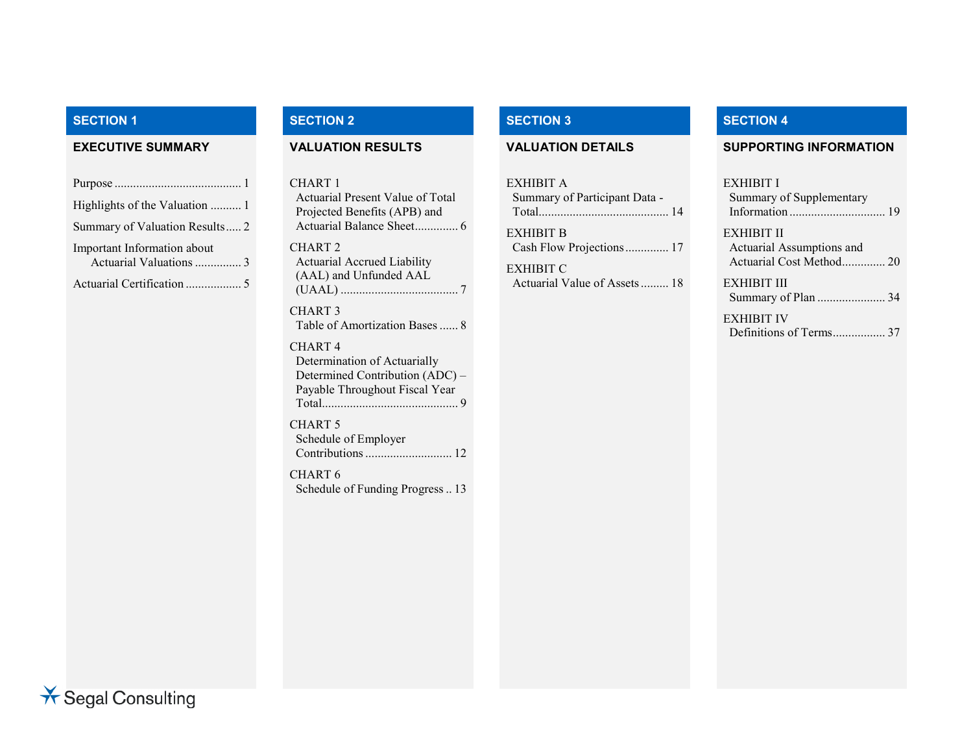#### **SECTION 1 SECTION 2 SECTION 3 SECTION 4**

| Highlights of the Valuation  1                         |
|--------------------------------------------------------|
| Summary of Valuation Results 2                         |
| Important Information about<br>Actuarial Valuations  3 |
| Actuarial Certification  5                             |

CHART 1 Actuarial Present Value of Total Projected Benefits (APB) and Actuarial Balance Sheet.............. 6 CHART 2 Actuarial Accrued Liability (AAL) and Unfunded AAL (UAAL) ...................................... 7 CHART 3

Table of Amortization Bases...... 8

#### CHART 4

Determination of Actuarially Determined Contribution (ADC) – Payable Throughout Fiscal Year Total............................................ 9

CHART 5 Schedule of Employer Contributions............................ 12

CHART 6 Schedule of Funding Progress.. 13

| EXHIBIT A<br>Summary of Participant Data - |  |
|--------------------------------------------|--|
| EXHIBIT B<br>Cash Flow Projections 17      |  |
| EXHIBIT C                                  |  |

# Actuarial Value of Assets......... 18

#### **EXECUTIVE SUMMARY VALUATION RESULTS VALUATION DETAILS SUPPORTING INFORMATION**

#### EXHIBIT I

| Summary of Supplementary  |  |
|---------------------------|--|
|                           |  |
| EXHIBIT II                |  |
| Actuarial Assumptions and |  |
| Actuarial Cost Method 20  |  |

# EXHIBIT III Summary of Plan ...................... 34

EXHIBIT IV Definitions of Terms................. 37

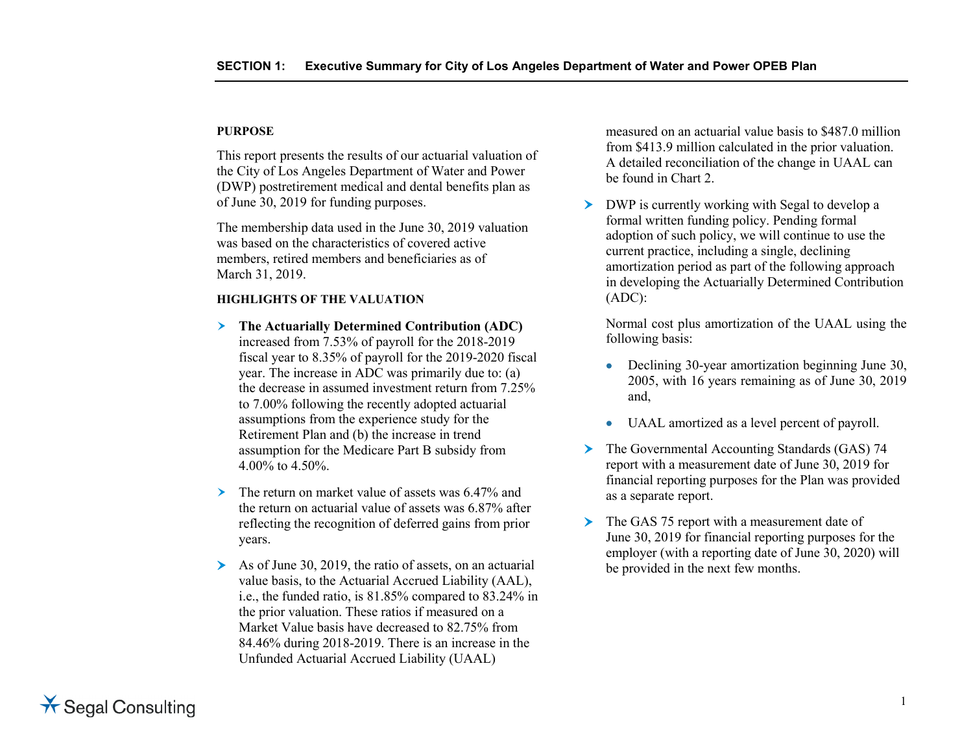#### **PURPOSE**

This report presents the results of our actuarial valuation of the City of Los Angeles Department of Water and Power (DWP) postretirement medical and dental benefits plan as of June 30, 2019 for funding purposes.

The membership data used in the June 30, 2019 valuation was based on the characteristics of covered active members, retired members and beneficiaries as of March 31, 2019.

#### **HIGHLIGHTS OF THE VALUATION**

- **The Actuarially Determined Contribution (ADC)** increased from 7.53% of payroll for the 2018-2019 fiscal year to 8.35% of payroll for the 2019-2020 fiscal year. The increase in ADC was primarily due to: (a) the decrease in assumed investment return from 7.25% to 7.00% following the recently adopted actuarial assumptions from the experience study for the Retirement Plan and (b) the increase in trend assumption for the Medicare Part B subsidy from 4.00% to 4.50%.
- The return on market value of assets was 6.47% and the return on actuarial value of assets was 6.87% after reflecting the recognition of deferred gains from prior years.
- $\triangleright$  As of June 30, 2019, the ratio of assets, on an actuarial value basis, to the Actuarial Accrued Liability (AAL), i.e., the funded ratio, is 81.85% compared to 83.24% in the prior valuation. These ratios if measured on a Market Value basis have decreased to 82.75% from 84.46% during 2018-2019. There is an increase in the Unfunded Actuarial Accrued Liability (UAAL)

measured on an actuarial value basis to \$487.0 million from \$413.9 million calculated in the prior valuation. A detailed reconciliation of the change in UAAL can be found in Chart 2.

DWP is currently working with Segal to develop a formal written funding policy. Pending formal adoption of such policy, we will continue to use the current practice, including a single, declining amortization period as part of the following approach in developing the Actuarially Determined Contribution (ADC):

Normal cost plus amortization of the UAAL using the following basis:

- Declining 30-year amortization beginning June 30, 2005, with 16 years remaining as of June 30, 2019 and,
- UAAL amortized as a level percent of payroll.
- The Governmental Accounting Standards (GAS) 74 report with a measurement date of June 30, 2019 for financial reporting purposes for the Plan was provided as a separate report.
- The GAS 75 report with a measurement date of June 30, 2019 for financial reporting purposes for the employer (with a reporting date of June 30, 2020) will be provided in the next few months.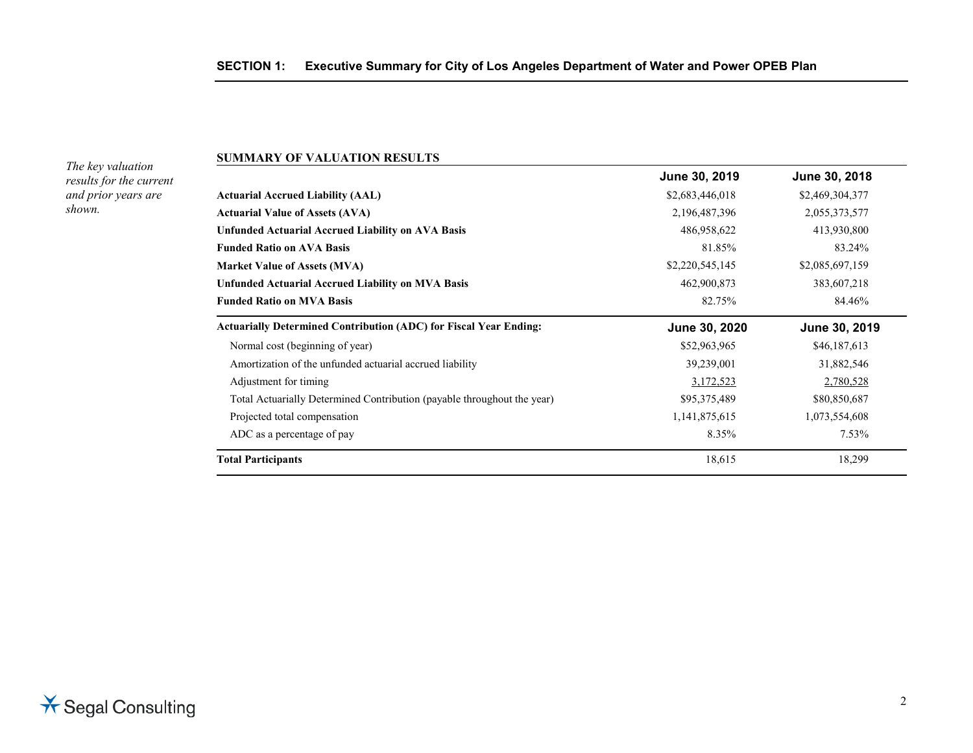#### **SUMMARY OF VALUATION RESULTS**

*The key valuation results for the current and prior years are shown.*

| June 30, 2019   | June 30, 2018   |
|-----------------|-----------------|
| \$2,683,446,018 | \$2,469,304,377 |
| 2,196,487,396   | 2,055,373,577   |
| 486,958,622     | 413,930,800     |
| 81.85%          | 83.24%          |
| \$2,220,545,145 | \$2,085,697,159 |
| 462,900,873     | 383,607,218     |
| 82.75%          | 84.46%          |
| June 30, 2020   | June 30, 2019   |
| \$52,963,965    | \$46,187,613    |
| 39,239,001      | 31,882,546      |
| 3,172,523       | 2,780,528       |
| \$95,375,489    | \$80,850,687    |
| 1,141,875,615   | 1,073,554,608   |
| 8.35%           | $7.53\%$        |
| 18,615          | 18,299          |
|                 |                 |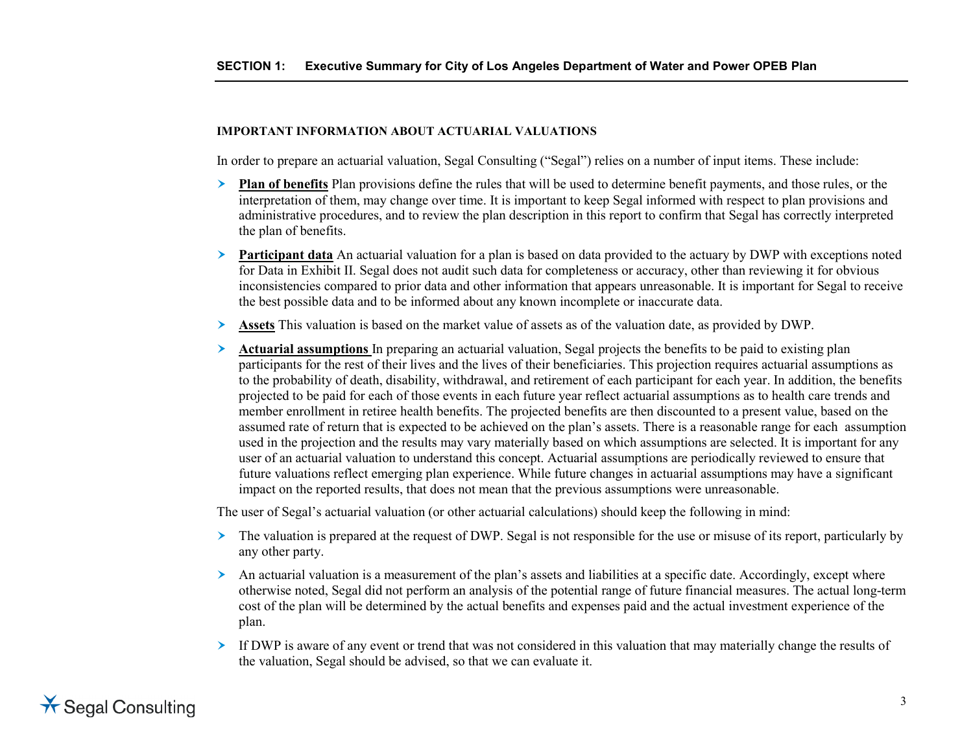#### **IMPORTANT INFORMATION ABOUT ACTUARIAL VALUATIONS**

In order to prepare an actuarial valuation, Segal Consulting ("Segal") relies on a number of input items. These include:

- **Plan of benefits** Plan provisions define the rules that will be used to determine benefit payments, and those rules, or the interpretation of them, may change over time. It is important to keep Segal informed with respect to plan provisions and administrative procedures, and to review the plan description in this report to confirm that Segal has correctly interpreted the plan of benefits.
- **Participant data** An actuarial valuation for a plan is based on data provided to the actuary by DWP with exceptions noted for Data in Exhibit II. Segal does not audit such data for completeness or accuracy, other than reviewing it for obvious inconsistencies compared to prior data and other information that appears unreasonable. It is important for Segal to receive the best possible data and to be informed about any known incomplete or inaccurate data.
- **Assets** This valuation is based on the market value of assets as of the valuation date, as provided by DWP.
- **Actuarial assumptions** In preparing an actuarial valuation, Segal projects the benefits to be paid to existing plan participants for the rest of their lives and the lives of their beneficiaries. This projection requires actuarial assumptions as to the probability of death, disability, withdrawal, and retirement of each participant for each year. In addition, the benefits projected to be paid for each of those events in each future year reflect actuarial assumptions as to health care trends and member enrollment in retiree health benefits. The projected benefits are then discounted to a present value, based on the assumed rate of return that is expected to be achieved on the plan's assets. There is a reasonable range for each assumption used in the projection and the results may vary materially based on which assumptions are selected. It is important for any user of an actuarial valuation to understand this concept. Actuarial assumptions are periodically reviewed to ensure that future valuations reflect emerging plan experience. While future changes in actuarial assumptions may have a significant impact on the reported results, that does not mean that the previous assumptions were unreasonable.

The user of Segal's actuarial valuation (or other actuarial calculations) should keep the following in mind:

- The valuation is prepared at the request of DWP. Segal is not responsible for the use or misuse of its report, particularly by any other party.
- An actuarial valuation is a measurement of the plan's assets and liabilities at a specific date. Accordingly, except where otherwise noted, Segal did not perform an analysis of the potential range of future financial measures. The actual long-term cost of the plan will be determined by the actual benefits and expenses paid and the actual investment experience of the plan.
- $\triangleright$  If DWP is aware of any event or trend that was not considered in this valuation that may materially change the results of the valuation, Segal should be advised, so that we can evaluate it.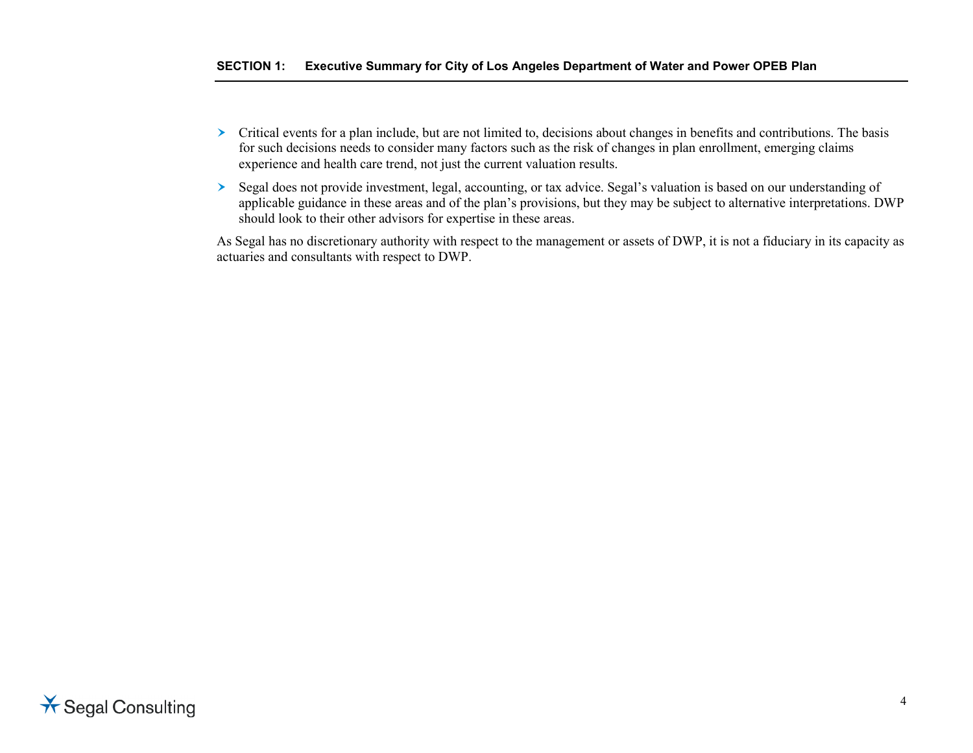- $\triangleright$  Critical events for a plan include, but are not limited to, decisions about changes in benefits and contributions. The basis for such decisions needs to consider many factors such as the risk of changes in plan enrollment, emerging claims experience and health care trend, not just the current valuation results.
- Segal does not provide investment, legal, accounting, or tax advice. Segal's valuation is based on our understanding of applicable guidance in these areas and of the plan's provisions, but they may be subject to alternative interpretations. DWP should look to their other advisors for expertise in these areas.

As Segal has no discretionary authority with respect to the management or assets of DWP, it is not a fiduciary in its capacity as actuaries and consultants with respect to DWP.

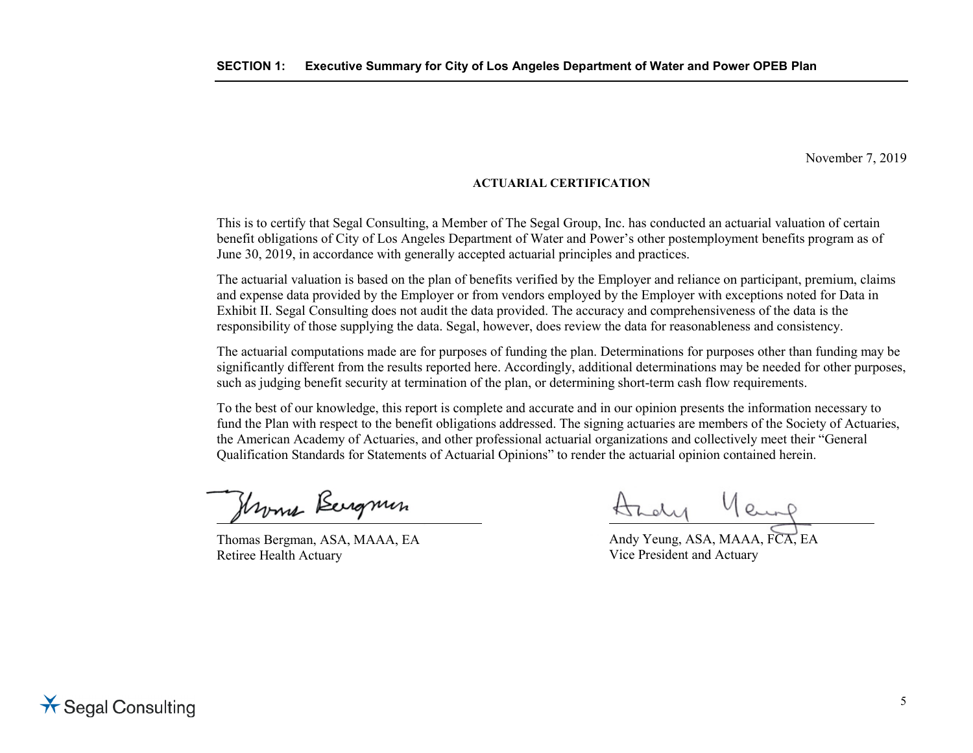November 7, 2019

#### **ACTUARIAL CERTIFICATION**

This is to certify that Segal Consulting, a Member of The Segal Group, Inc. has conducted an actuarial valuation of certain benefit obligations of City of Los Angeles Department of Water and Power's other postemployment benefits program as of June 30, 2019, in accordance with generally accepted actuarial principles and practices.

The actuarial valuation is based on the plan of benefits verified by the Employer and reliance on participant, premium, claims and expense data provided by the Employer or from vendors employed by the Employer with exceptions noted for Data in Exhibit II. Segal Consulting does not audit the data provided. The accuracy and comprehensiveness of the data is the responsibility of those supplying the data. Segal, however, does review the data for reasonableness and consistency.

The actuarial computations made are for purposes of funding the plan. Determinations for purposes other than funding may be significantly different from the results reported here. Accordingly, additional determinations may be needed for other purposes, such as judging benefit security at termination of the plan, or determining short-term cash flow requirements.

To the best of our knowledge, this report is complete and accurate and in our opinion presents the information necessary to fund the Plan with respect to the benefit obligations addressed. The signing actuaries are members of the Society of Actuaries, the American Academy of Actuaries, and other professional actuarial organizations and collectively meet their "General Qualification Standards for Statements of Actuarial Opinions" to render the actuarial opinion contained herein.

Hroma Bergmin

Thomas Bergman, ASA, MAAA, EA Retiree Health Actuary

Andy Yeung

Andy Yeung, ASA, MAAA, FCA, EA Vice President and Actuary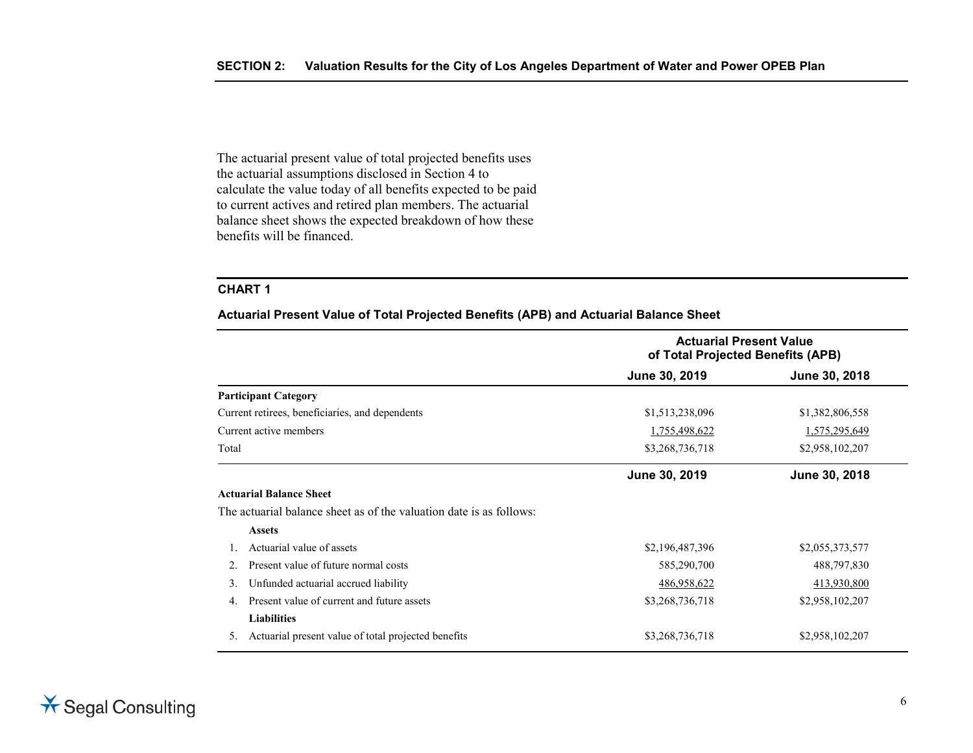The actuarial present value of total projected benefits uses the actuarial assumptions disclosed in Section 4 to calculate the value today of all benefits expected to be paid to current actives and retired plan members. The actuarial balance sheet shows the expected breakdown of how these benefits will be financed.

#### **CHART 1**

**Actuarial Present Value of Total Projected Benefits (APB) and Actuarial Balance Sheet**

|       |                                                                     | <b>Actuarial Present Value</b><br>of Total Projected Benefits (APB) |                 |  |
|-------|---------------------------------------------------------------------|---------------------------------------------------------------------|-----------------|--|
|       |                                                                     | June 30, 2019                                                       | June 30, 2018   |  |
|       | <b>Participant Category</b>                                         |                                                                     |                 |  |
|       | Current retirees, beneficiaries, and dependents                     | \$1,513,238,096                                                     | \$1,382,806,558 |  |
|       | Current active members                                              | 1,755,498,622                                                       | 1,575,295,649   |  |
| Total |                                                                     | \$3,268,736,718                                                     | \$2,958,102,207 |  |
|       |                                                                     | June 30, 2019                                                       | June 30, 2018   |  |
|       | <b>Actuarial Balance Sheet</b>                                      |                                                                     |                 |  |
|       | The actuarial balance sheet as of the valuation date is as follows: |                                                                     |                 |  |
|       | <b>Assets</b>                                                       |                                                                     |                 |  |
|       | Actuarial value of assets                                           | \$2,196,487,396                                                     | \$2,055,373,577 |  |
|       | Present value of future normal costs                                | 585,290,700                                                         | 488,797,830     |  |
| 3.    | Unfunded actuarial accrued liability                                | 486,958,622                                                         | 413,930,800     |  |
| 4.    | Present value of current and future assets                          | \$3,268,736,718                                                     | \$2,958,102,207 |  |
|       | <b>Liabilities</b>                                                  |                                                                     |                 |  |
| 5.    | Actuarial present value of total projected benefits                 | \$3,268,736,718                                                     | \$2,958,102,207 |  |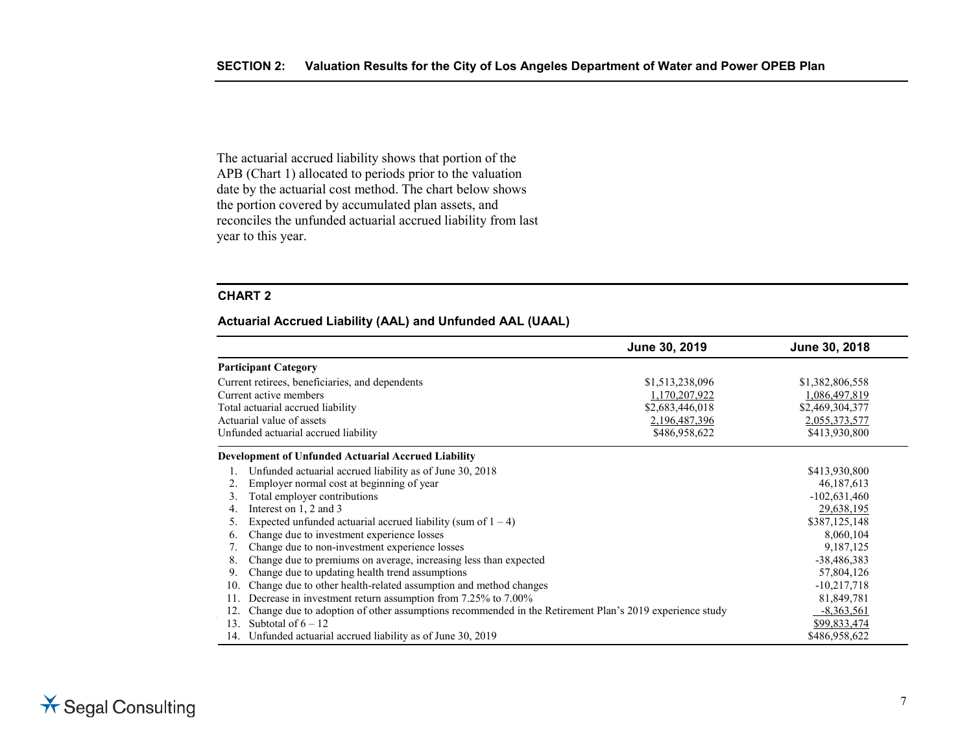The actuarial accrued liability shows that portion of the APB (Chart 1) allocated to periods prior to the valuation date by the actuarial cost method. The chart below shows the portion covered by accumulated plan assets, and reconciles the unfunded actuarial accrued liability from last year to this year.

#### **CHART 2**

#### **Actuarial Accrued Liability (AAL) and Unfunded AAL (UAAL)**

|     |                                                                                                        | June 30, 2019   | June 30, 2018   |
|-----|--------------------------------------------------------------------------------------------------------|-----------------|-----------------|
|     | <b>Participant Category</b>                                                                            |                 |                 |
|     | Current retirees, beneficiaries, and dependents                                                        | \$1,513,238,096 | \$1,382,806,558 |
|     | Current active members                                                                                 | 1,170,207,922   | 1,086,497,819   |
|     | Total actuarial accrued liability                                                                      | \$2,683,446,018 | \$2,469,304,377 |
|     | Actuarial value of assets                                                                              | 2,196,487,396   | 2,055,373,577   |
|     | Unfunded actuarial accrued liability                                                                   | \$486,958,622   | \$413,930,800   |
|     | <b>Development of Unfunded Actuarial Accrued Liability</b>                                             |                 |                 |
|     | Unfunded actuarial accrued liability as of June 30, 2018                                               |                 | \$413,930,800   |
|     | Employer normal cost at beginning of year                                                              |                 | 46, 187, 613    |
| 3.  | Total employer contributions                                                                           |                 | $-102,631,460$  |
| 4.  | Interest on 1, 2 and 3                                                                                 |                 | 29,638,195      |
| 5.  | Expected unfunded actuarial accrued liability (sum of $1 - 4$ )                                        |                 |                 |
| 6.  | 8,060,104<br>Change due to investment experience losses                                                |                 |                 |
|     | Change due to non-investment experience losses                                                         |                 | 9,187,125       |
| 8.  | Change due to premiums on average, increasing less than expected                                       |                 | $-38,486,383$   |
| 9.  | Change due to updating health trend assumptions                                                        |                 | 57,804,126      |
| 10. | Change due to other health-related assumption and method changes<br>$-10,217,718$                      |                 |                 |
|     | Decrease in investment return assumption from 7.25% to 7.00%                                           |                 | 81,849,781      |
|     | Change due to adoption of other assumptions recommended in the Retirement Plan's 2019 experience study |                 | $-8,363,561$    |
| 13. | Subtotal of $6 - 12$                                                                                   |                 | \$99,833,474    |
| 14. | Unfunded actuarial accrued liability as of June 30, 2019                                               |                 | \$486,958,622   |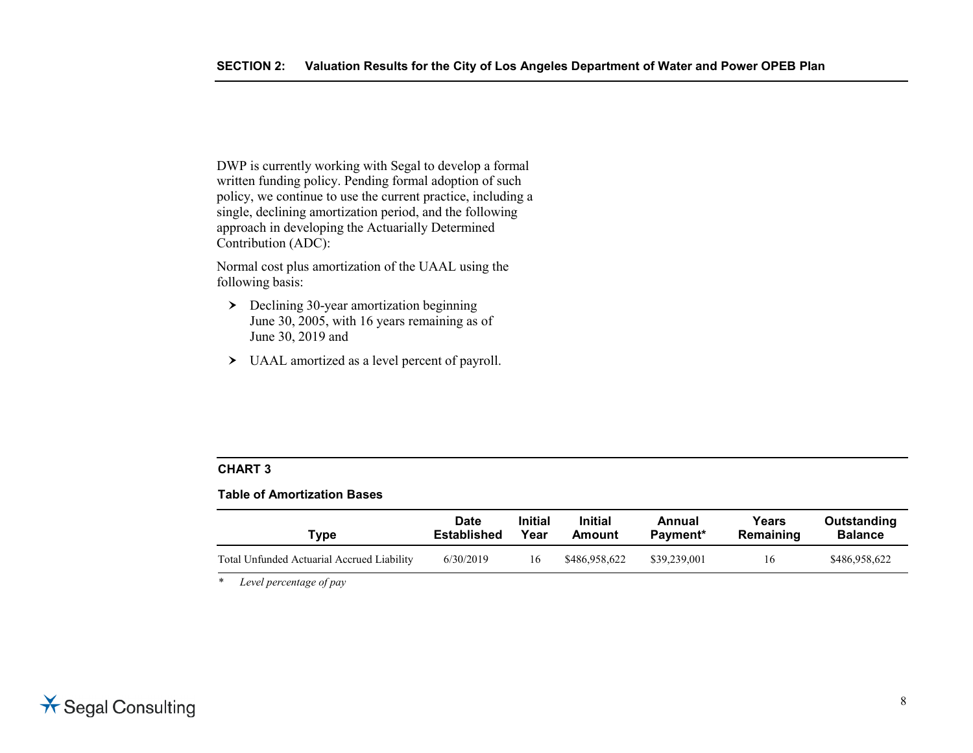DWP is currently working with Segal to develop a formal written funding policy. Pending formal adoption of such policy, we continue to use the current practice, including a single, declining amortization period, and the following approach in developing the Actuarially Determined Contribution (ADC):

Normal cost plus amortization of the UAAL using the following basis:

- Declining 30-year amortization beginning June 30, 2005, with 16 years remaining as of June 30, 2019 and
- UAAL amortized as a level percent of payroll.

### **CHART 3**

#### **Table of Amortization Bases**

| Type                                       | <b>Date</b>        | <b>Initial</b> | <b>Initial</b> | Annual       | Years     | Outstanding    |
|--------------------------------------------|--------------------|----------------|----------------|--------------|-----------|----------------|
|                                            | <b>Established</b> | Year           | Amount         | Payment*     | Remaining | <b>Balance</b> |
| Total Unfunded Actuarial Accrued Liability | 6/30/2019          | 16             | \$486,958,622  | \$39,239,001 | 16        | \$486,958,622  |

*\* Level percentage of pay*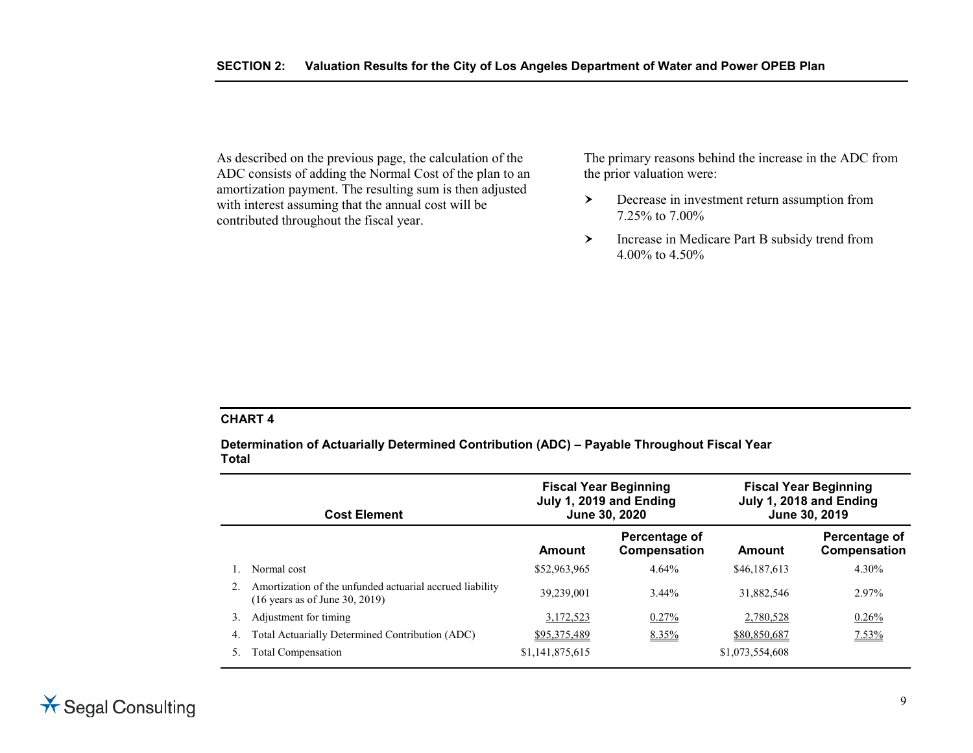As described on the previous page, the calculation of the ADC consists of adding the Normal Cost of the plan to an amortization payment. The resulting sum is then adjusted with interest assuming that the annual cost will be contributed throughout the fiscal year.

The primary reasons behind the increase in the ADC from the prior valuation were:

- Decrease in investment return assumption from 7.25% to 7.00%
- Increase in Medicare Part B subsidy trend from 4.00% to 4.50%

#### **CHART 4**

**Determination of Actuarially Determined Contribution (ADC) – Payable Throughout Fiscal Year Total**

|    | <b>Cost Element</b>                                                                                   | <b>Fiscal Year Beginning</b><br>July 1, 2019 and Ending<br>June 30, 2020 |                               |                 | <b>Fiscal Year Beginning</b><br>July 1, 2018 and Ending<br>June 30, 2019 |
|----|-------------------------------------------------------------------------------------------------------|--------------------------------------------------------------------------|-------------------------------|-----------------|--------------------------------------------------------------------------|
|    |                                                                                                       | Amount                                                                   | Percentage of<br>Compensation | Amount          | Percentage of<br>Compensation                                            |
|    | Normal cost                                                                                           | \$52,963,965                                                             | 4.64%                         | \$46,187,613    | 4.30%                                                                    |
|    | Amortization of the unfunded actuarial accrued liability<br>$(16 \text{ years as of June } 30, 2019)$ | 39,239,001                                                               | 3.44%                         | 31,882,546      | 2.97%                                                                    |
| 3. | Adjustment for timing                                                                                 | 3,172,523                                                                | 0.27%                         | 2,780,528       | 0.26%                                                                    |
| 4. | Total Actuarially Determined Contribution (ADC)                                                       | \$95,375,489                                                             | $8.35\%$                      | \$80,850,687    | $7.53\%$                                                                 |
|    | <b>Total Compensation</b>                                                                             | \$1,141,875,615                                                          |                               | \$1,073,554,608 |                                                                          |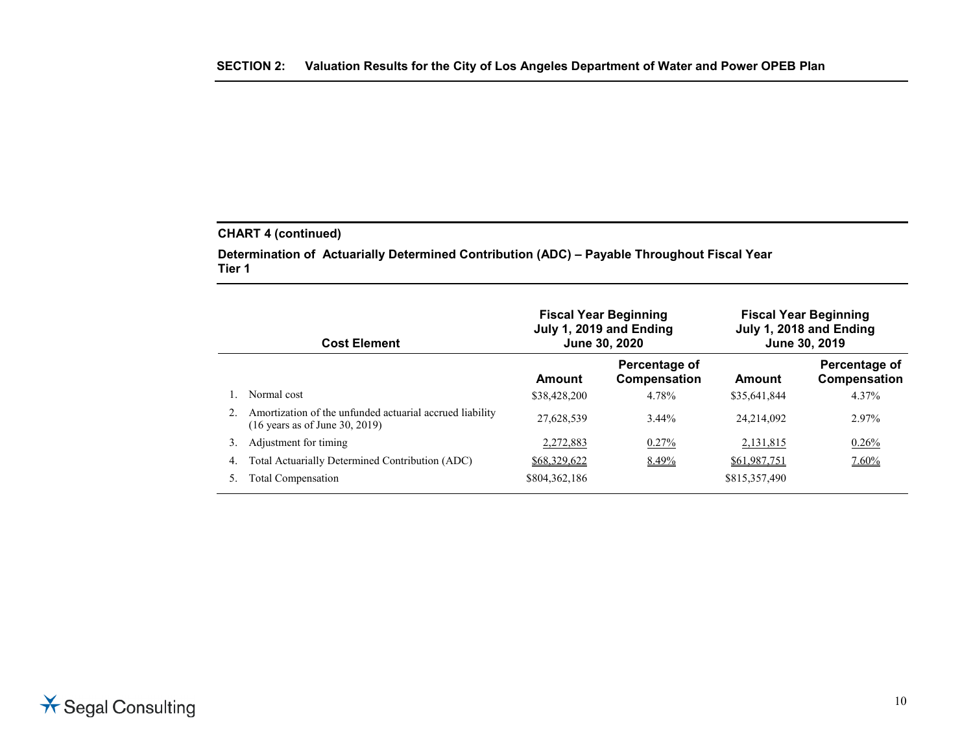### **CHART 4 (continued)**

**Determination of Actuarially Determined Contribution (ADC) – Payable Throughout Fiscal Year Tier 1**

|    | <b>Cost Element</b>                                                                                   | <b>Fiscal Year Beginning</b><br>July 1, 2019 and Ending<br>June 30, 2020 |                               |               | <b>Fiscal Year Beginning</b><br>July 1, 2018 and Ending<br>June 30, 2019 |
|----|-------------------------------------------------------------------------------------------------------|--------------------------------------------------------------------------|-------------------------------|---------------|--------------------------------------------------------------------------|
|    |                                                                                                       | Amount                                                                   | Percentage of<br>Compensation | Amount        | Percentage of<br>Compensation                                            |
|    | Normal cost                                                                                           | \$38,428,200                                                             | 4.78%                         | \$35,641,844  | 4.37%                                                                    |
|    | Amortization of the unfunded actuarial accrued liability<br>$(16 \text{ years as of June } 30, 2019)$ | 27.628.539                                                               | $3.44\%$                      | 24.214.092    | 2.97%                                                                    |
| 3. | Adjustment for timing                                                                                 | 2,272,883                                                                | 0.27%                         | 2,131,815     | 0.26%                                                                    |
| 4. | Total Actuarially Determined Contribution (ADC)                                                       | <u>\$68,329,622</u>                                                      | $8.49\%$                      | \$61,987,751  | $7.60\%$                                                                 |
|    | Total Compensation                                                                                    | \$804,362,186                                                            |                               | \$815,357,490 |                                                                          |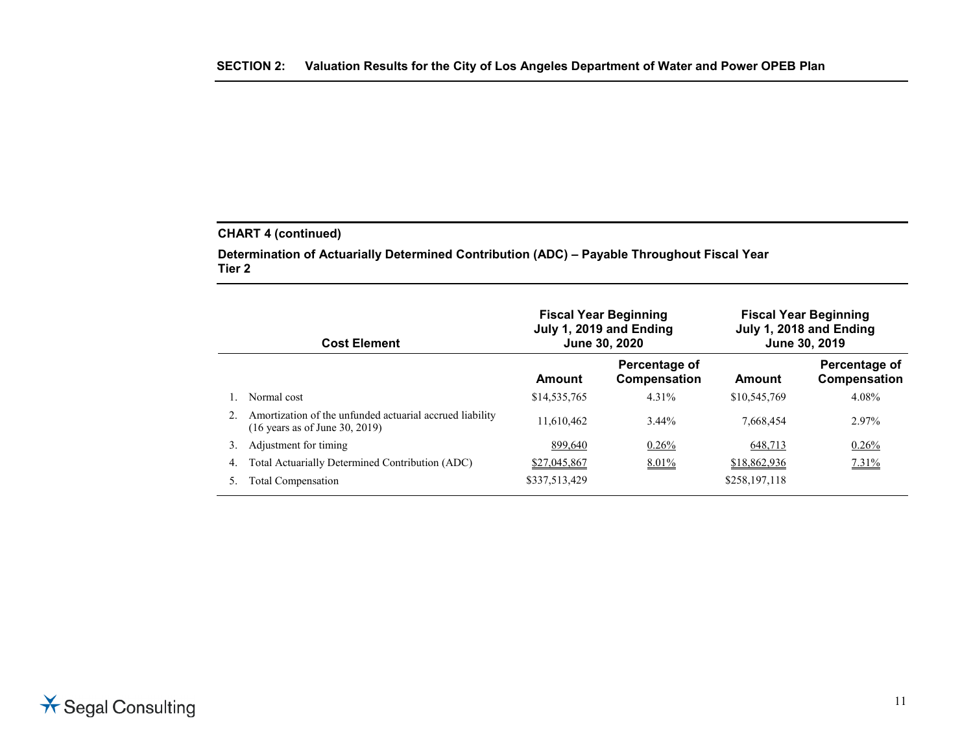### **CHART 4 (continued)**

**Determination of Actuarially Determined Contribution (ADC) – Payable Throughout Fiscal Year Tier 2**

|    | <b>Cost Element</b>                                                                                   | <b>Fiscal Year Beginning</b><br>July 1, 2019 and Ending<br>June 30, 2020 |                               |               | <b>Fiscal Year Beginning</b><br>July 1, 2018 and Ending<br>June 30, 2019 |
|----|-------------------------------------------------------------------------------------------------------|--------------------------------------------------------------------------|-------------------------------|---------------|--------------------------------------------------------------------------|
|    |                                                                                                       | Amount                                                                   | Percentage of<br>Compensation | Amount        | Percentage of<br>Compensation                                            |
|    | Normal cost                                                                                           | \$14,535,765                                                             | 4.31%                         | \$10,545,769  | 4.08%                                                                    |
|    | Amortization of the unfunded actuarial accrued liability<br>$(16 \text{ years as of June } 30, 2019)$ | 11.610.462                                                               | 3.44%                         | 7.668.454     | 2.97%                                                                    |
| 3. | Adjustment for timing                                                                                 | 899,640                                                                  | $0.26\%$                      | 648,713       | 0.26%                                                                    |
| 4. | Total Actuarially Determined Contribution (ADC)                                                       | \$27,045,867                                                             | $8.01\%$                      | \$18,862,936  | $7.31\%$                                                                 |
|    | <b>Total Compensation</b>                                                                             | \$337,513,429                                                            |                               | \$258,197,118 |                                                                          |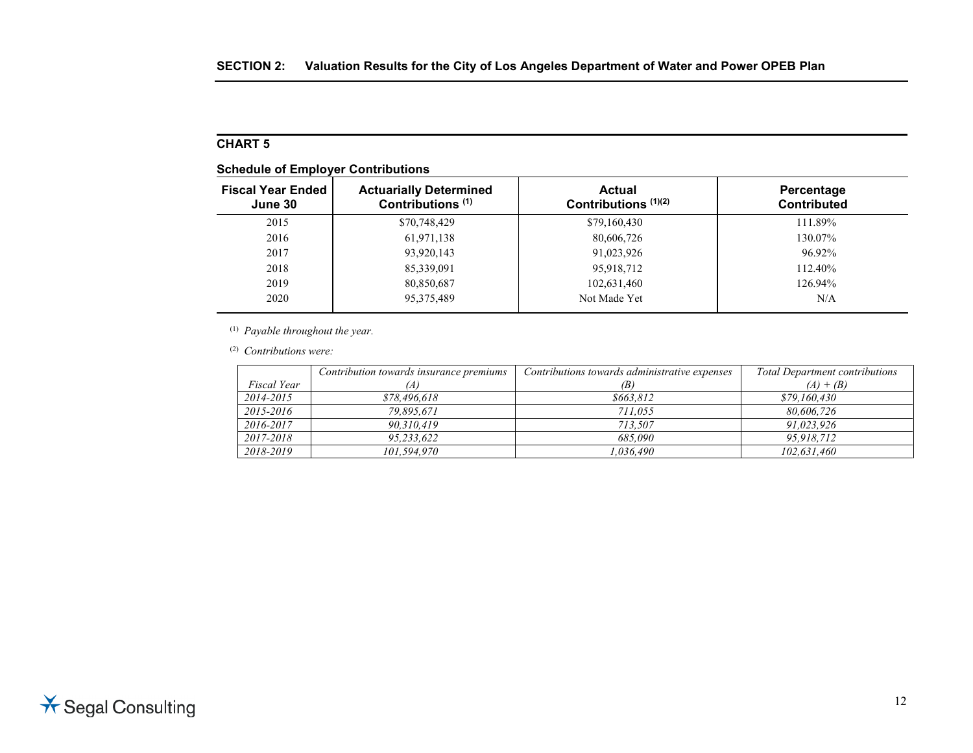# **CHART 5**

|  |  | <b>Schedule of Employer Contributions</b> |
|--|--|-------------------------------------------|
|--|--|-------------------------------------------|

| <b>Fiscal Year Ended</b><br>June 30 | <b>Actuarially Determined</b><br>Contributions <sup>(1)</sup> | <b>Actual</b><br>Contributions $(1)(2)$ | Percentage<br><b>Contributed</b> |
|-------------------------------------|---------------------------------------------------------------|-----------------------------------------|----------------------------------|
| 2015                                | \$70,748,429                                                  | \$79,160,430                            | 111.89%                          |
| 2016                                | 61,971,138                                                    | 80,606,726                              | 130.07%                          |
| 2017                                | 93,920,143                                                    | 91,023,926                              | 96.92%                           |
| 2018                                | 85,339,091                                                    | 95,918,712                              | 112.40%                          |
| 2019                                | 80,850,687                                                    | 102,631,460                             | 126.94%                          |
| 2020                                | 95, 375, 489                                                  | Not Made Yet                            | N/A                              |

(1) *Payable throughout the year.*

(2) *Contributions were:*

|             | Contribution towards insurance premiums | Contributions towards administrative expenses | <b>Total Department contributions</b> |
|-------------|-----------------------------------------|-----------------------------------------------|---------------------------------------|
| Fiscal Year |                                         | (B)                                           | $(A) + (B)$                           |
| 2014-2015   | \$78,496,618                            | \$663.812                                     | \$79,160,430                          |
| 2015-2016   | 79.895.671                              | 711.055                                       | 80.606.726                            |
| 2016-2017   | 90.310.419                              | 713.507                                       | 91.023.926                            |
| 2017-2018   | 95,233,622                              | 685.090                                       | 95,918,712                            |
| 2018-2019   | 101.594.970                             | 1.036.490                                     | 102.631.460                           |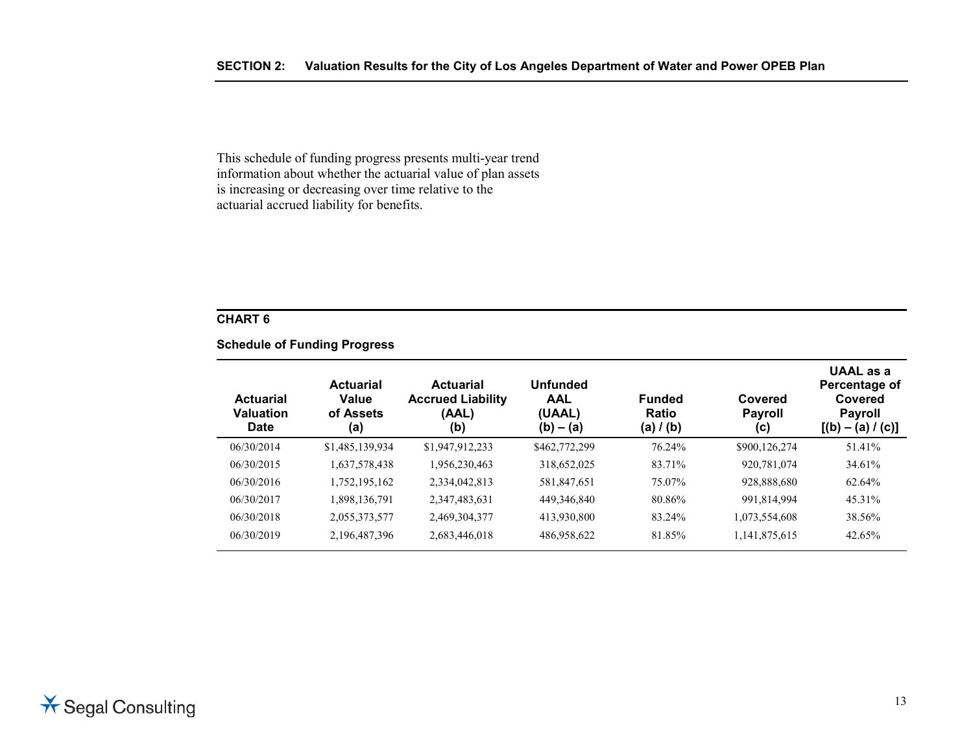This schedule of funding progress presents multi-year trend information about whether the actuarial value of plan assets is increasing or decreasing over time relative to the actuarial accrued liability for benefits.

#### **CHART 6**

#### **Schedule of Funding Progress**

| <b>Actuarial</b><br><b>Valuation</b><br><b>Date</b> | <b>Actuarial</b><br>Value<br>of Assets<br>(a) | <b>Actuarial</b><br><b>Accrued Liability</b><br>(AAL)<br>(b) | <b>Unfunded</b><br><b>AAL</b><br>(UAAL)<br>$(b) - (a)$ | <b>Funded</b><br>Ratio<br>(a) $/$ (b) | Covered<br><b>Payroll</b><br>(c) | UAAL as a<br>Percentage of<br>Covered<br><b>Payroll</b><br>$[(b) - (a) / (c)]$ |
|-----------------------------------------------------|-----------------------------------------------|--------------------------------------------------------------|--------------------------------------------------------|---------------------------------------|----------------------------------|--------------------------------------------------------------------------------|
| 06/30/2014                                          | \$1,485,139,934                               | \$1,947,912,233                                              | \$462,772,299                                          | 76.24%                                | \$900,126,274                    | 51.41%                                                                         |
| 06/30/2015                                          | 1,637,578,438                                 | 1,956,230,463                                                | 318,652,025                                            | 83.71%                                | 920,781,074                      | 34.61%                                                                         |
| 06/30/2016                                          | 1,752,195,162                                 | 2,334,042,813                                                | 581,847,651                                            | 75.07%                                | 928,888,680                      | 62.64%                                                                         |
| 06/30/2017                                          | 1,898,136,791                                 | 2,347,483,631                                                | 449,346,840                                            | 80.86%                                | 991,814,994                      | 45.31%                                                                         |
| 06/30/2018                                          | 2,055,373,577                                 | 2,469,304,377                                                | 413,930,800                                            | 83.24%                                | 1,073,554,608                    | 38.56%                                                                         |
| 06/30/2019                                          | 2,196,487,396                                 | 2,683,446,018                                                | 486,958,622                                            | 81.85%                                | 1,141,875,615                    | 42.65%                                                                         |
|                                                     |                                               |                                                              |                                                        |                                       |                                  |                                                                                |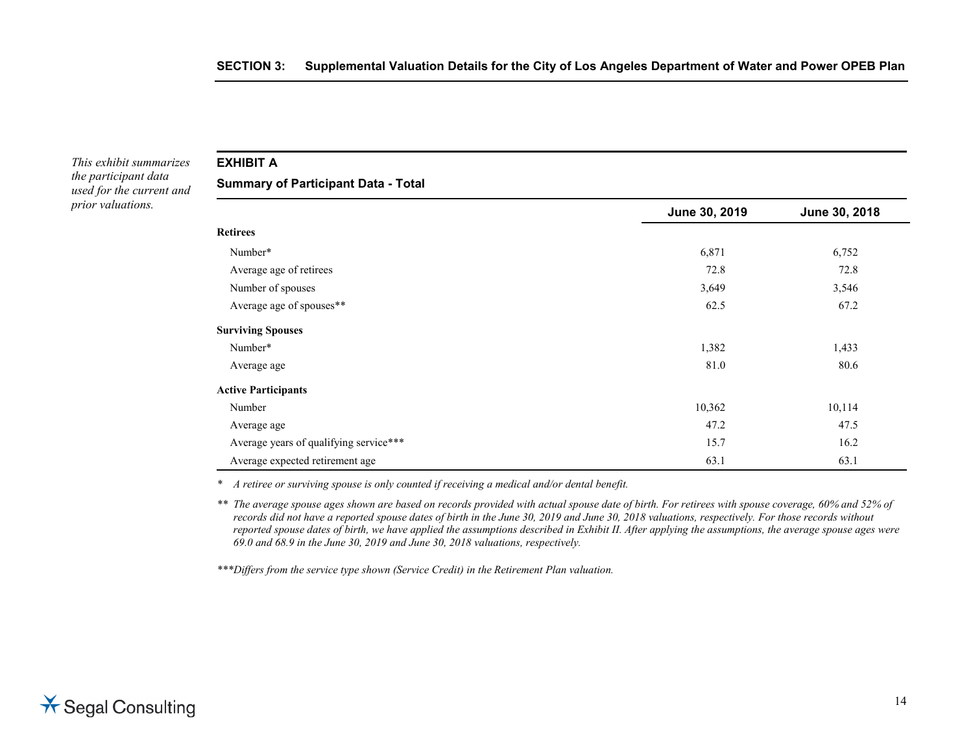*This exhibit summarizes the participant data used for the current and prior valuations.*

**EXHIBIT A**

**Summary of Participant Data - Total**

|                                        | June 30, 2019 | June 30, 2018 |
|----------------------------------------|---------------|---------------|
| <b>Retirees</b>                        |               |               |
| Number*                                | 6,871         | 6,752         |
| Average age of retirees                | 72.8          | 72.8          |
| Number of spouses                      | 3,649         | 3,546         |
| Average age of spouses**               | 62.5          | 67.2          |
| <b>Surviving Spouses</b>               |               |               |
| Number*                                | 1,382         | 1,433         |
| Average age                            | 81.0          | 80.6          |
| <b>Active Participants</b>             |               |               |
| Number                                 | 10,362        | 10,114        |
| Average age                            | 47.2          | 47.5          |
| Average years of qualifying service*** | 15.7          | 16.2          |
| Average expected retirement age        | 63.1          | 63.1          |

*\* A retiree or surviving spouse is only counted if receiving a medical and/or dental benefit.*

*\*\* The average spouse ages shown are based on records provided with actual spouse date of birth. For retirees with spouse coverage, 60% and 52% of records did not have a reported spouse dates of birth in the June 30, 2019 and June 30, 2018 valuations, respectively. For those records without reported spouse dates of birth, we have applied the assumptions described in Exhibit II. After applying the assumptions, the average spouse ages were 69.0 and 68.9 in the June 30, 2019 and June 30, 2018 valuations, respectively.*

*\*\*\*Differs from the service type shown (Service Credit) in the Retirement Plan valuation.*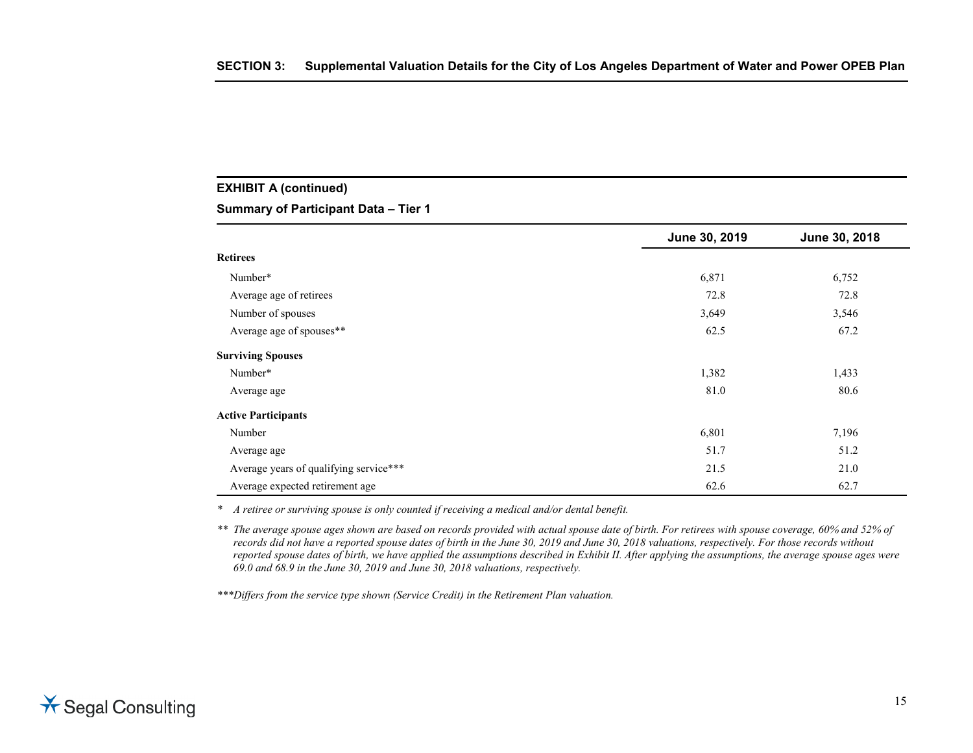### **EXHIBIT A (continued)**

**Summary of Participant Data – Tier 1**

|                                        | June 30, 2019 | June 30, 2018 |
|----------------------------------------|---------------|---------------|
| <b>Retirees</b>                        |               |               |
| Number*                                | 6,871         | 6,752         |
| Average age of retirees                | 72.8          | 72.8          |
| Number of spouses                      | 3,649         | 3,546         |
| Average age of spouses**               | 62.5          | 67.2          |
| <b>Surviving Spouses</b>               |               |               |
| Number*                                | 1,382         | 1,433         |
| Average age                            | 81.0          | 80.6          |
| <b>Active Participants</b>             |               |               |
| Number                                 | 6,801         | 7,196         |
| Average age                            | 51.7          | 51.2          |
| Average years of qualifying service*** | 21.5          | 21.0          |
| Average expected retirement age        | 62.6          | 62.7          |

*\* A retiree or surviving spouse is only counted if receiving a medical and/or dental benefit.*

*\*\* The average spouse ages shown are based on records provided with actual spouse date of birth. For retirees with spouse coverage, 60% and 52% of records did not have a reported spouse dates of birth in the June 30, 2019 and June 30, 2018 valuations, respectively. For those records without reported spouse dates of birth, we have applied the assumptions described in Exhibit II. After applying the assumptions, the average spouse ages were 69.0 and 68.9 in the June 30, 2019 and June 30, 2018 valuations, respectively.*

*\*\*\*Differs from the service type shown (Service Credit) in the Retirement Plan valuation.*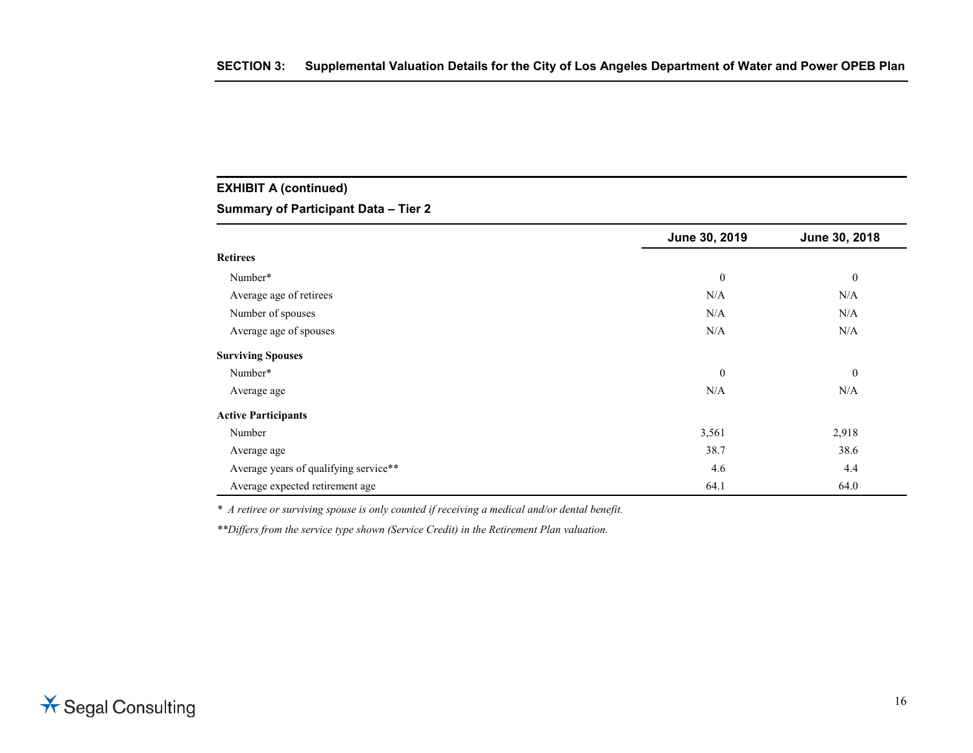# **EXHIBIT A (continued)**

#### **Summary of Participant Data – Tier 2**

|                                       | June 30, 2019 | June 30, 2018 |
|---------------------------------------|---------------|---------------|
| <b>Retirees</b>                       |               |               |
| Number*                               | $\mathbf{0}$  | $\mathbf{0}$  |
| Average age of retirees               | N/A           | N/A           |
| Number of spouses                     | N/A           | N/A           |
| Average age of spouses                | N/A           | N/A           |
| <b>Surviving Spouses</b>              |               |               |
| Number*                               | $\mathbf{0}$  | $\mathbf{0}$  |
| Average age                           | N/A           | N/A           |
| <b>Active Participants</b>            |               |               |
| Number                                | 3,561         | 2,918         |
| Average age                           | 38.7          | 38.6          |
| Average years of qualifying service** | 4.6           | 4.4           |
| Average expected retirement age       | 64.1          | 64.0          |

*\* A retiree or surviving spouse is only counted if receiving a medical and/or dental benefit.*

*\*\*Differs from the service type shown (Service Credit) in the Retirement Plan valuation.*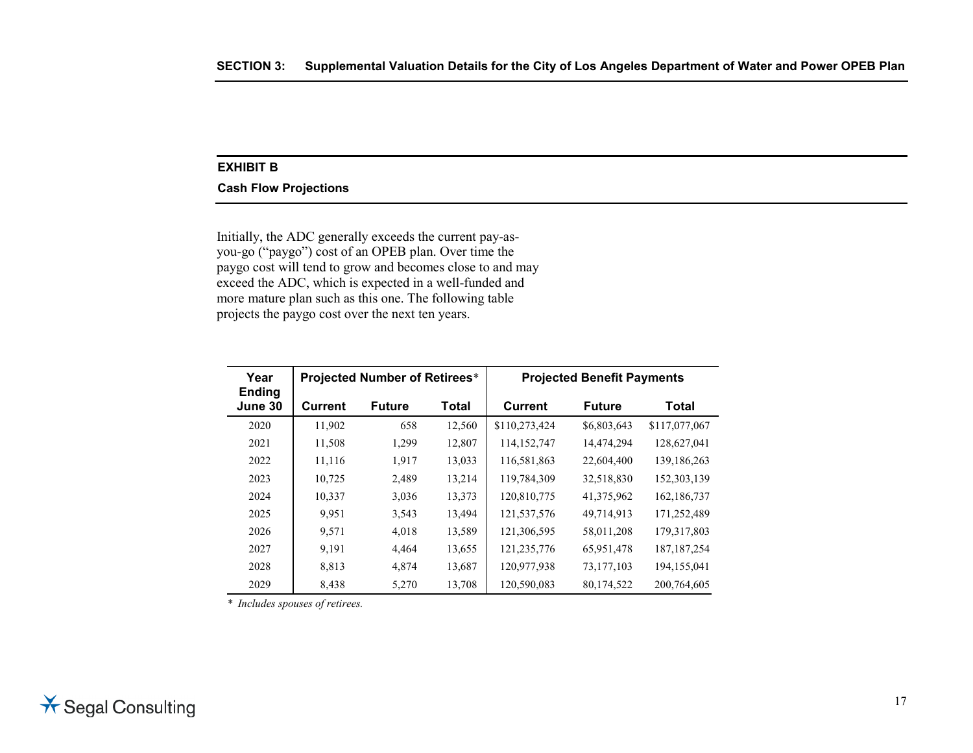#### **EXHIBIT B**

#### **Cash Flow Projections**

Initially, the ADC generally exceeds the current pay-asyou-go ("paygo") cost of an OPEB plan. Over time the paygo cost will tend to grow and becomes close to and may exceed the ADC, which is expected in a well-funded and more mature plan such as this one. The following table projects the paygo cost over the next ten years.

| Year                     |         | <b>Projected Number of Retirees*</b> |        |                | <b>Projected Benefit Payments</b> |               |
|--------------------------|---------|--------------------------------------|--------|----------------|-----------------------------------|---------------|
| <b>Ending</b><br>June 30 | Current | <b>Future</b>                        | Total  | <b>Current</b> | <b>Future</b>                     | Total         |
| 2020                     | 11,902  | 658                                  | 12,560 | \$110,273,424  | \$6,803,643                       | \$117,077,067 |
| 2021                     | 11,508  | 1,299                                | 12,807 | 114, 152, 747  | 14,474,294                        | 128,627,041   |
| 2022                     | 11,116  | 1,917                                | 13,033 | 116,581,863    | 22,604,400                        | 139,186,263   |
| 2023                     | 10,725  | 2,489                                | 13,214 | 119,784,309    | 32,518,830                        | 152,303,139   |
| 2024                     | 10,337  | 3,036                                | 13,373 | 120,810,775    | 41,375,962                        | 162, 186, 737 |
| 2025                     | 9,951   | 3,543                                | 13,494 | 121,537,576    | 49,714,913                        | 171,252,489   |
| 2026                     | 9,571   | 4,018                                | 13,589 | 121,306,595    | 58,011,208                        | 179,317,803   |
| 2027                     | 9,191   | 4,464                                | 13,655 | 121,235,776    | 65,951,478                        | 187, 187, 254 |
| 2028                     | 8,813   | 4,874                                | 13,687 | 120,977,938    | 73,177,103                        | 194,155,041   |
| 2029                     | 8,438   | 5,270                                | 13,708 | 120,590,083    | 80,174,522                        | 200,764,605   |

*\* Includes spouses of retirees.*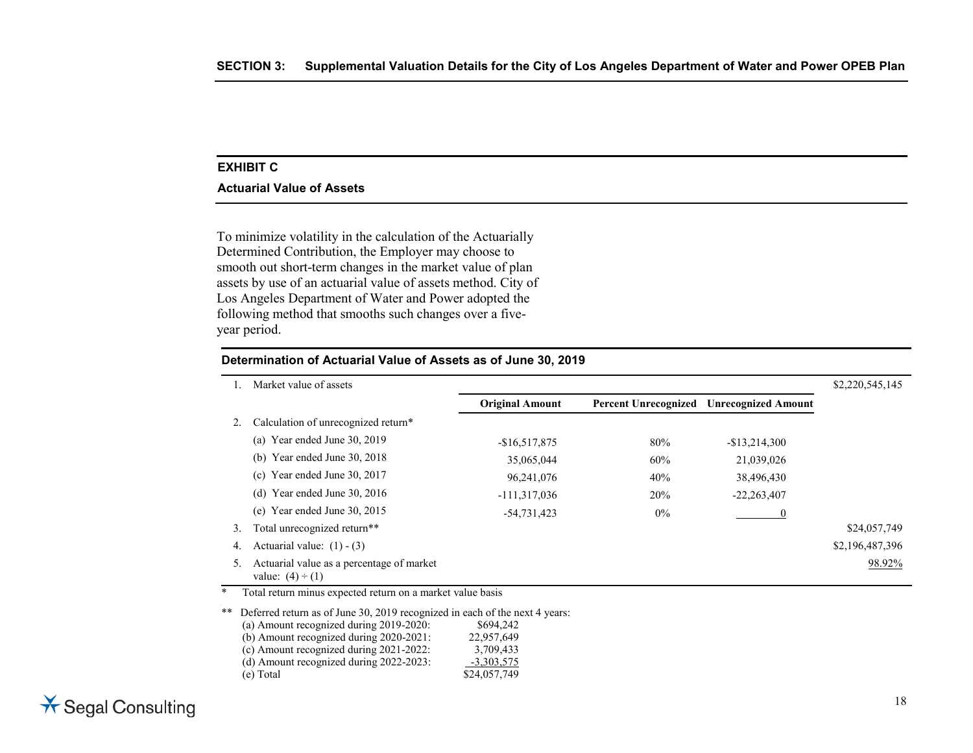#### **EXHIBIT C**

#### **Actuarial Value of Assets**

To minimize volatility in the calculation of the Actuarially Determined Contribution, the Employer may choose to smooth out short-term changes in the market value of plan assets by use of an actuarial value of assets method. City of Los Angeles Department of Water and Power adopted the following method that smooths such changes over a fiveyear period.

|    | Market value of assets                                             |                        |                             |                            | \$2,220,545,145 |
|----|--------------------------------------------------------------------|------------------------|-----------------------------|----------------------------|-----------------|
|    |                                                                    | <b>Original Amount</b> | <b>Percent Unrecognized</b> | <b>Unrecognized Amount</b> |                 |
|    | Calculation of unrecognized return*                                |                        |                             |                            |                 |
|    | (a) Year ended June $30, 2019$                                     | $-$16,517,875$         | 80%                         | $-$13,214,300$             |                 |
|    | (b) Year ended June $30, 2018$                                     | 35,065,044             | 60%                         | 21,039,026                 |                 |
|    | (c) Year ended June 30, $2017$                                     | 96,241,076             | 40%                         | 38,496,430                 |                 |
|    | Year ended June 30, 2016<br>(d)                                    | $-111,317,036$         | 20%                         | $-22,263,407$              |                 |
|    | Year ended June 30, 2015<br>(e)                                    | -54,731,423            | $0\%$                       |                            |                 |
| 3. | Total unrecognized return**                                        |                        |                             |                            | \$24,057,749    |
| 4. | Actuarial value: $(1) - (3)$                                       |                        |                             |                            | \$2,196,487,396 |
|    | Actuarial value as a percentage of market<br>value: $(4) \div (1)$ |                        |                             |                            | 98.92%          |

**Determination of Actuarial Value of Assets as of June 30, 2019**

\* Total return minus expected return on a market value basis

\*\* Deferred return as of June 30, 2019 recognized in each of the next 4 years: (a) Amount recognized during 2019-2020: \$694,242 (b) Amount recognized during 2020-2021: 22,957,649 (c) Amount recognized during 2021-2022:  $3,709,433$ <br>
(d) Amount recognized during 2022-2023:  $-3,303,575$  $(d)$  Amount recognized during 2022-2023: (e) Total \$24,057,749

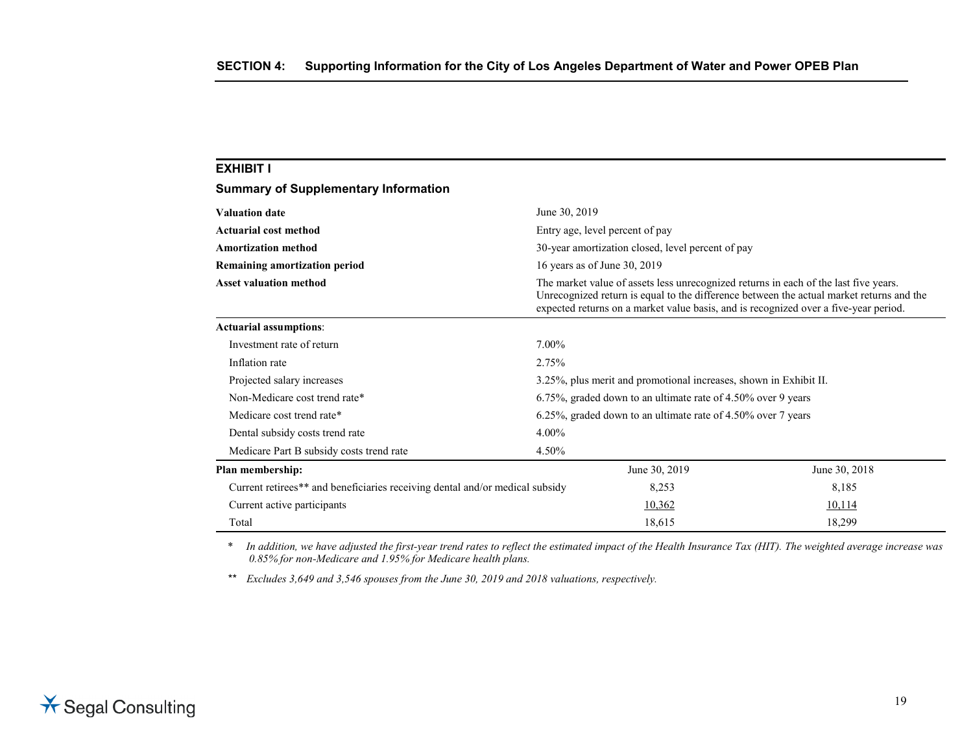| <b>EXHIBIT I</b>                                                             |               |                                                                                      |                                                                                                                                                                                  |
|------------------------------------------------------------------------------|---------------|--------------------------------------------------------------------------------------|----------------------------------------------------------------------------------------------------------------------------------------------------------------------------------|
| <b>Summary of Supplementary Information</b>                                  |               |                                                                                      |                                                                                                                                                                                  |
| <b>Valuation date</b>                                                        | June 30, 2019 |                                                                                      |                                                                                                                                                                                  |
| Actuarial cost method                                                        |               | Entry age, level percent of pay                                                      |                                                                                                                                                                                  |
| <b>Amortization method</b>                                                   |               | 30-year amortization closed, level percent of pay                                    |                                                                                                                                                                                  |
| 16 years as of June 30, 2019<br>Remaining amortization period                |               |                                                                                      |                                                                                                                                                                                  |
| <b>Asset valuation method</b>                                                |               | The market value of assets less unrecognized returns in each of the last five years. | Unrecognized return is equal to the difference between the actual market returns and the<br>expected returns on a market value basis, and is recognized over a five-year period. |
| <b>Actuarial assumptions:</b>                                                |               |                                                                                      |                                                                                                                                                                                  |
| Investment rate of return                                                    | 7.00%         |                                                                                      |                                                                                                                                                                                  |
| Inflation rate                                                               | 2.75%         |                                                                                      |                                                                                                                                                                                  |
| Projected salary increases                                                   |               | 3.25%, plus merit and promotional increases, shown in Exhibit II.                    |                                                                                                                                                                                  |
| Non-Medicare cost trend rate*                                                |               | 6.75%, graded down to an ultimate rate of 4.50% over 9 years                         |                                                                                                                                                                                  |
| Medicare cost trend rate*                                                    |               | 6.25%, graded down to an ultimate rate of 4.50% over 7 years                         |                                                                                                                                                                                  |
| Dental subsidy costs trend rate                                              | $4.00\%$      |                                                                                      |                                                                                                                                                                                  |
| Medicare Part B subsidy costs trend rate                                     | 4.50%         |                                                                                      |                                                                                                                                                                                  |
| Plan membership:                                                             |               | June 30, 2019                                                                        | June 30, 2018                                                                                                                                                                    |
| Current retirees** and beneficiaries receiving dental and/or medical subsidy |               | 8,253                                                                                | 8,185                                                                                                                                                                            |
| Current active participants                                                  |               | 10,362                                                                               | 10,114                                                                                                                                                                           |
| Total                                                                        |               | 18,615                                                                               | 18,299                                                                                                                                                                           |

*\* In addition, we have adjusted the first-year trend rates to reflect the estimated impact of the Health Insurance Tax (HIT). The weighted average increase was 0.85% for non-Medicare and 1.95% for Medicare health plans.*

*\*\* Excludes 3,649 and 3,546 spouses from the June 30, 2019 and 2018 valuations, respectively.*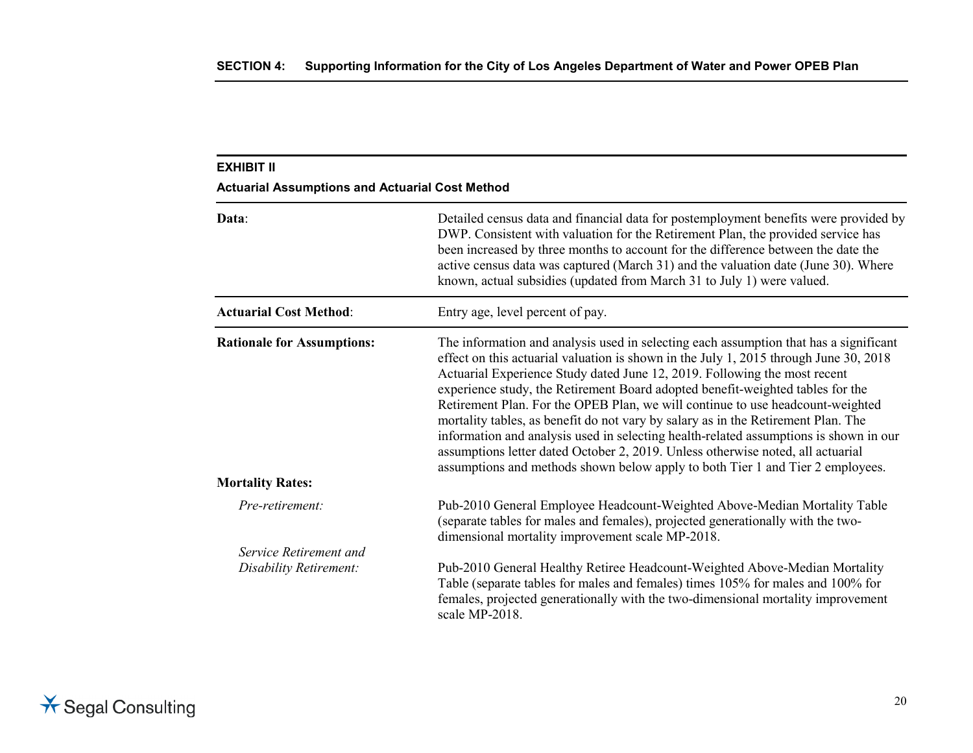| <b>EXHIBIT II</b>                                      |                                                                                                                                                                                                                                                                                                                                                                                                                                                                                                                                                                                                                                                                                                                                                                                    |
|--------------------------------------------------------|------------------------------------------------------------------------------------------------------------------------------------------------------------------------------------------------------------------------------------------------------------------------------------------------------------------------------------------------------------------------------------------------------------------------------------------------------------------------------------------------------------------------------------------------------------------------------------------------------------------------------------------------------------------------------------------------------------------------------------------------------------------------------------|
| <b>Actuarial Assumptions and Actuarial Cost Method</b> |                                                                                                                                                                                                                                                                                                                                                                                                                                                                                                                                                                                                                                                                                                                                                                                    |
| Data:                                                  | Detailed census data and financial data for postemployment benefits were provided by<br>DWP. Consistent with valuation for the Retirement Plan, the provided service has<br>been increased by three months to account for the difference between the date the<br>active census data was captured (March 31) and the valuation date (June 30). Where<br>known, actual subsidies (updated from March 31 to July 1) were valued.                                                                                                                                                                                                                                                                                                                                                      |
| <b>Actuarial Cost Method:</b>                          | Entry age, level percent of pay.                                                                                                                                                                                                                                                                                                                                                                                                                                                                                                                                                                                                                                                                                                                                                   |
| <b>Rationale for Assumptions:</b>                      | The information and analysis used in selecting each assumption that has a significant<br>effect on this actuarial valuation is shown in the July 1, 2015 through June 30, 2018<br>Actuarial Experience Study dated June 12, 2019. Following the most recent<br>experience study, the Retirement Board adopted benefit-weighted tables for the<br>Retirement Plan. For the OPEB Plan, we will continue to use headcount-weighted<br>mortality tables, as benefit do not vary by salary as in the Retirement Plan. The<br>information and analysis used in selecting health-related assumptions is shown in our<br>assumptions letter dated October 2, 2019. Unless otherwise noted, all actuarial<br>assumptions and methods shown below apply to both Tier 1 and Tier 2 employees. |
| <b>Mortality Rates:</b>                                |                                                                                                                                                                                                                                                                                                                                                                                                                                                                                                                                                                                                                                                                                                                                                                                    |
| Pre-retirement:                                        | Pub-2010 General Employee Headcount-Weighted Above-Median Mortality Table<br>(separate tables for males and females), projected generationally with the two-<br>dimensional mortality improvement scale MP-2018.                                                                                                                                                                                                                                                                                                                                                                                                                                                                                                                                                                   |
| Service Retirement and                                 |                                                                                                                                                                                                                                                                                                                                                                                                                                                                                                                                                                                                                                                                                                                                                                                    |
| Disability Retirement:                                 | Pub-2010 General Healthy Retiree Headcount-Weighted Above-Median Mortality<br>Table (separate tables for males and females) times 105% for males and 100% for<br>females, projected generationally with the two-dimensional mortality improvement<br>scale MP-2018.                                                                                                                                                                                                                                                                                                                                                                                                                                                                                                                |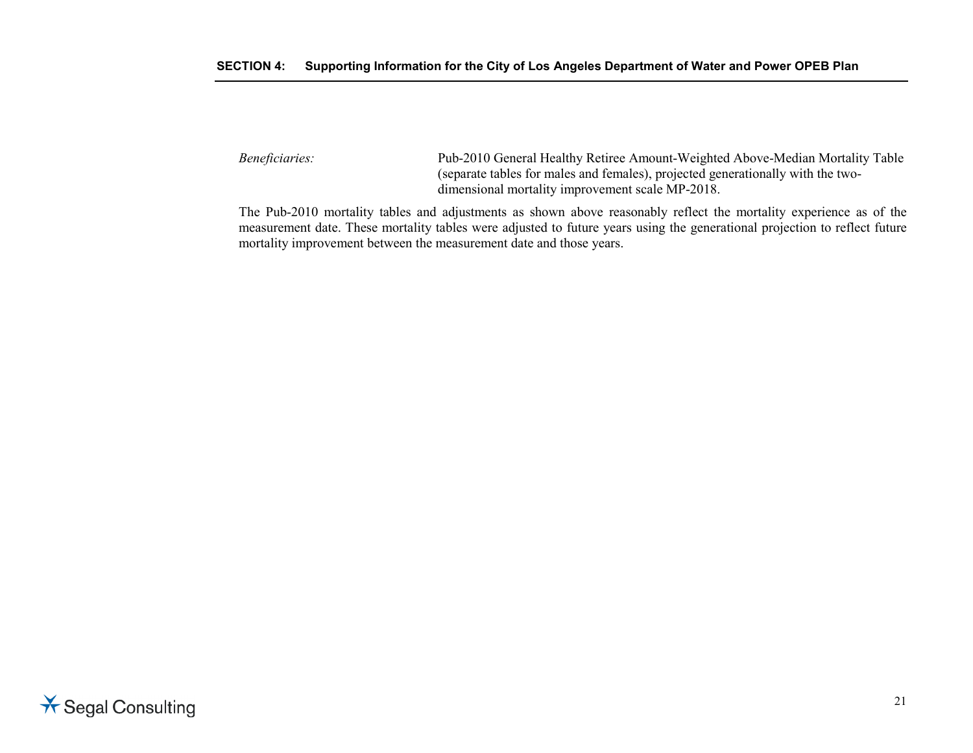### **SECTION 4: Supporting Information for the City of Los Angeles Department of Water and Power OPEB Plan**

*Beneficiaries:* Pub-2010 General Healthy Retiree Amount-Weighted Above-Median Mortality Table (separate tables for males and females), projected generationally with the twodimensional mortality improvement scale MP-2018.

The Pub-2010 mortality tables and adjustments as shown above reasonably reflect the mortality experience as of the measurement date. These mortality tables were adjusted to future years using the generational projection to reflect future mortality improvement between the measurement date and those years.

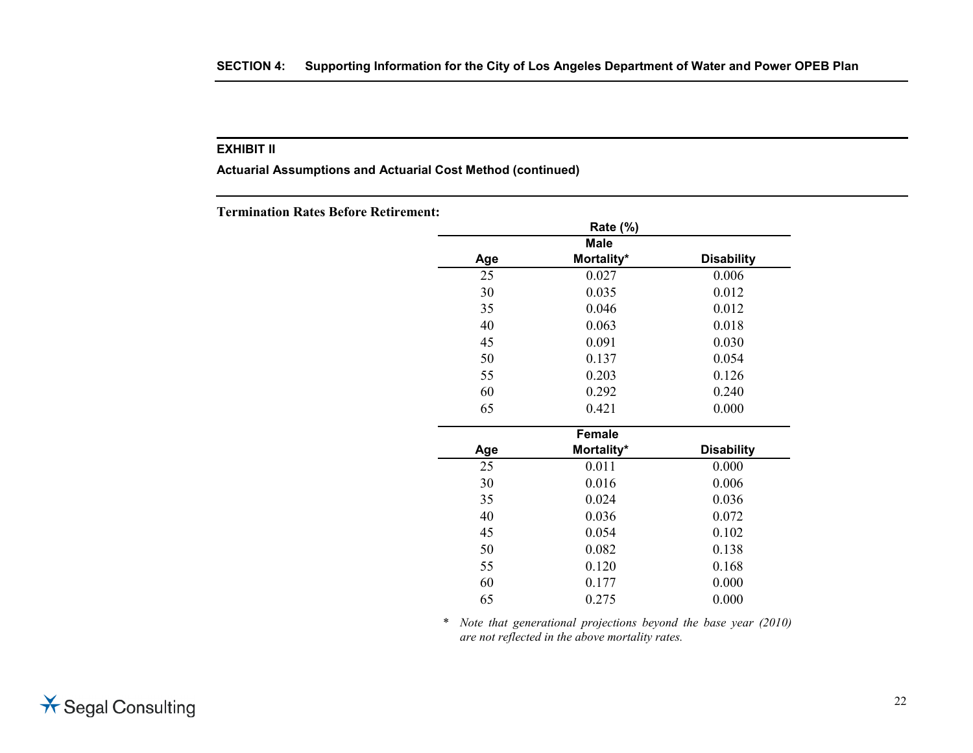**Actuarial Assumptions and Actuarial Cost Method (continued)**

**Termination Rates Before Retirement:**

|     | <b>Rate (%)</b> |                   |
|-----|-----------------|-------------------|
|     | <b>Male</b>     |                   |
| Age | Mortality*      | <b>Disability</b> |
| 25  | 0.027           | 0.006             |
| 30  | 0.035           | 0.012             |
| 35  | 0.046           | 0.012             |
| 40  | 0.063           | 0.018             |
| 45  | 0.091           | 0.030             |
| 50  | 0.137           | 0.054             |
| 55  | 0.203           | 0.126             |
| 60  | 0.292           | 0.240             |
| 65  | 0.421           | 0.000             |
|     | <b>Female</b>   |                   |
| Age | Mortality*      | <b>Disability</b> |
| 25  | 0.011           | 0.000             |
| 30  | 0.016           | 0.006             |
| 35  | 0.024           | 0.036             |
| 40  | 0.036           | 0.072             |
| 45  | 0.054           | 0.102             |
| 50  | 0.082           | 0.138             |
| 55  | 0.120           | 0.168             |
| 60  | 0.177           | 0.000             |
| 65  | 0.275           | 0.000             |

\* *Note that generational projections beyond the base year (2010) are not reflected in the above mortality rates.*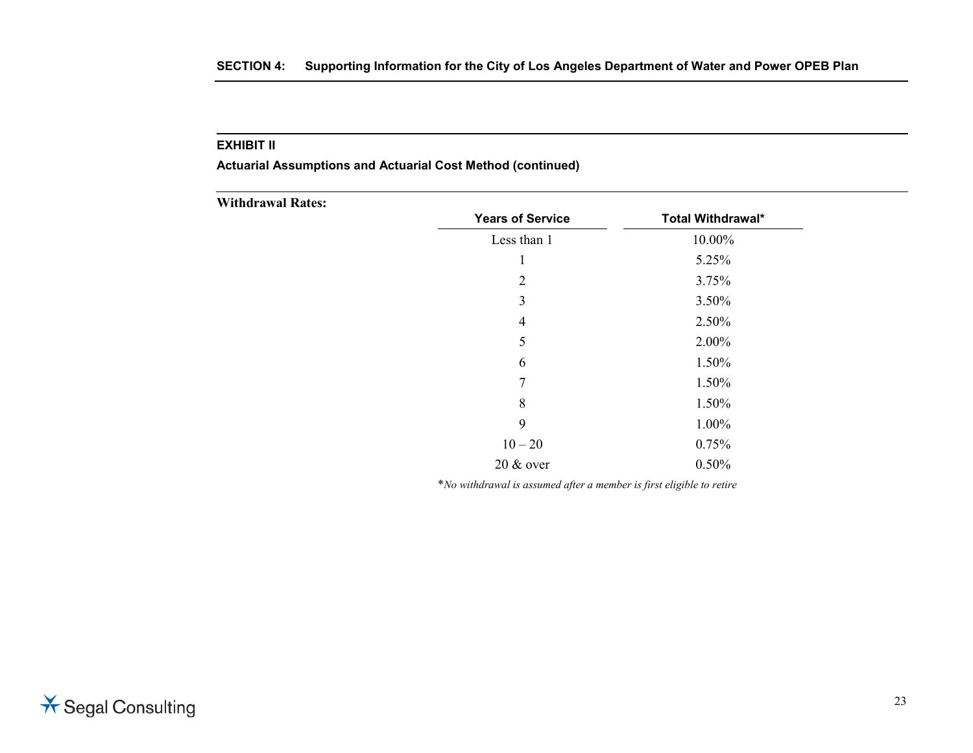**Actuarial Assumptions and Actuarial Cost Method (continued)**

| <b>Withdrawal Rates:</b> |                         |                   |
|--------------------------|-------------------------|-------------------|
|                          | <b>Years of Service</b> | Total Withdrawal* |
|                          | Less than 1             | 10.00%            |
|                          | $\bf{I}$                | 5.25%             |
|                          | $\overline{2}$          | 3.75%             |
|                          | 3                       | 3.50%             |
|                          | 4                       | 2.50%             |
|                          | 5                       | 2.00%             |
|                          | 6                       | 1.50%             |
|                          | $\tau$                  | 1.50%             |
|                          | 8                       | 1.50%             |
|                          | 9                       | 1.00%             |
|                          | $10 - 20$               | 0.75%             |
|                          | 20 & over               | 0.50%             |

\**No withdrawal is assumed after a member is first eligible to retire*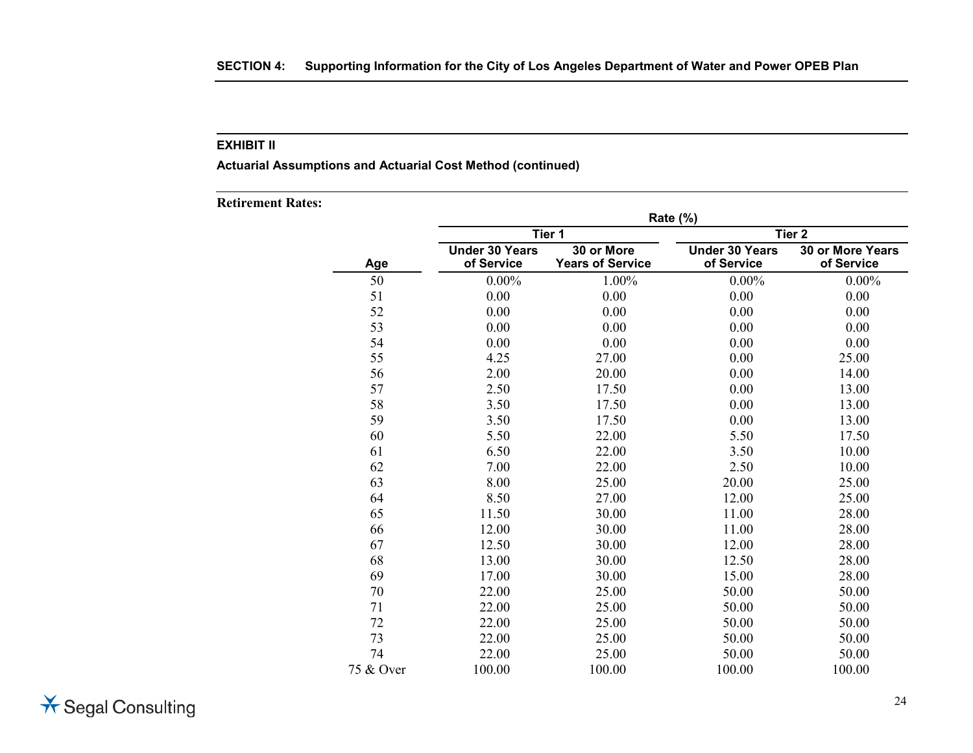**Actuarial Assumptions and Actuarial Cost Method (continued)**

|           | Rate (%)                            |                                       |                                     |                                       |  |
|-----------|-------------------------------------|---------------------------------------|-------------------------------------|---------------------------------------|--|
| Tier 1    |                                     | Tier <sub>2</sub>                     |                                     |                                       |  |
| Age       | <b>Under 30 Years</b><br>of Service | 30 or More<br><b>Years of Service</b> | <b>Under 30 Years</b><br>of Service | <b>30 or More Years</b><br>of Service |  |
| 50        | $0.00\%$                            | 1.00%                                 | $0.00\%$                            | $0.00\%$                              |  |
| 51        | 0.00                                | 0.00                                  | 0.00                                | 0.00                                  |  |
| 52        | 0.00                                | 0.00                                  | 0.00                                | 0.00                                  |  |
| 53        | 0.00                                | 0.00                                  | 0.00                                | 0.00                                  |  |
| 54        | 0.00                                | 0.00                                  | 0.00                                | 0.00                                  |  |
| 55        | 4.25                                | 27.00                                 | 0.00                                | 25.00                                 |  |
| 56        | 2.00                                | 20.00                                 | 0.00                                | 14.00                                 |  |
| 57        | 2.50                                | 17.50                                 | 0.00                                | 13.00                                 |  |
| 58        | 3.50                                | 17.50                                 | 0.00                                | 13.00                                 |  |
| 59        | 3.50                                | 17.50                                 | 0.00                                | 13.00                                 |  |
| 60        | 5.50                                | 22.00                                 | 5.50                                | 17.50                                 |  |
| 61        | 6.50                                | 22.00                                 | 3.50                                | 10.00                                 |  |
| 62        | 7.00                                | 22.00                                 | 2.50                                | 10.00                                 |  |
| 63        | 8.00                                | 25.00                                 | 20.00                               | 25.00                                 |  |
| 64        | 8.50                                | 27.00                                 | 12.00                               | 25.00                                 |  |
| 65        | 11.50                               | 30.00                                 | 11.00                               | 28.00                                 |  |
| 66        | 12.00                               | 30.00                                 | 11.00                               | 28.00                                 |  |
| 67        | 12.50                               | 30.00                                 | 12.00                               | 28.00                                 |  |
| 68        | 13.00                               | 30.00                                 | 12.50                               | 28.00                                 |  |
| 69        | 17.00                               | 30.00                                 | 15.00                               | 28.00                                 |  |
| 70        | 22.00                               | 25.00                                 | 50.00                               | 50.00                                 |  |
| 71        | 22.00                               | 25.00                                 | 50.00                               | 50.00                                 |  |
| 72        | 22.00                               | 25.00                                 | 50.00                               | 50.00                                 |  |
| 73        | 22.00                               | 25.00                                 | 50.00                               | 50.00                                 |  |
| 74        | 22.00                               | 25.00                                 | 50.00                               | 50.00                                 |  |
| 75 & Over | 100.00                              | 100.00                                | 100.00                              | 100.00                                |  |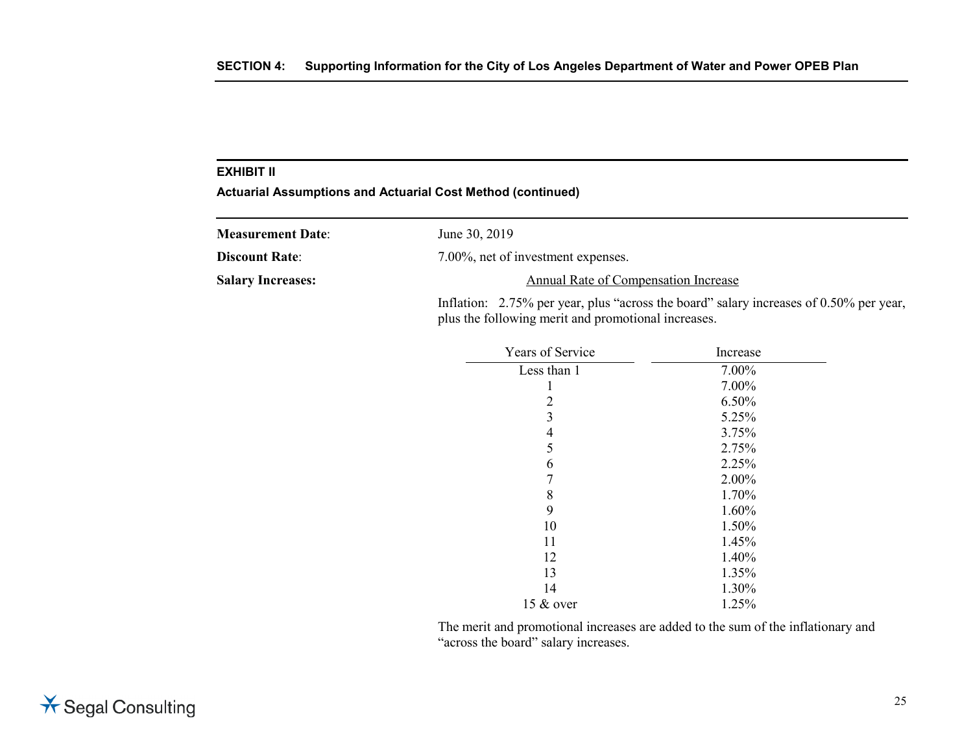**Actuarial Assumptions and Actuarial Cost Method (continued)**

| <b>Measurement Date:</b> | June 30, 2019                                                                                                                                 |
|--------------------------|-----------------------------------------------------------------------------------------------------------------------------------------------|
| <b>Discount Rate:</b>    | 7.00%, net of investment expenses.                                                                                                            |
| <b>Salary Increases:</b> | Annual Rate of Compensation Increase                                                                                                          |
|                          | Inflation: 2.75% per year, plus "across the board" salary increases of 0.50% per year,<br>plus the following merit and promotional increases. |

| <b>Years of Service</b> | Increase |
|-------------------------|----------|
| Less than 1             | 7.00%    |
| 1                       | 7.00%    |
| 2                       | 6.50%    |
| 3                       | 5.25%    |
| 4                       | 3.75%    |
| 5                       | 2.75%    |
| 6                       | 2.25%    |
| 7                       | 2.00%    |
| 8                       | 1.70%    |
| 9                       | 1.60%    |
| 10                      | 1.50%    |
| 11                      | 1.45%    |
| 12                      | 1.40%    |
| 13                      | 1.35%    |
| 14                      | 1.30%    |
| 15 & over               | 1.25%    |

The merit and promotional increases are added to the sum of the inflationary and "across the board" salary increases.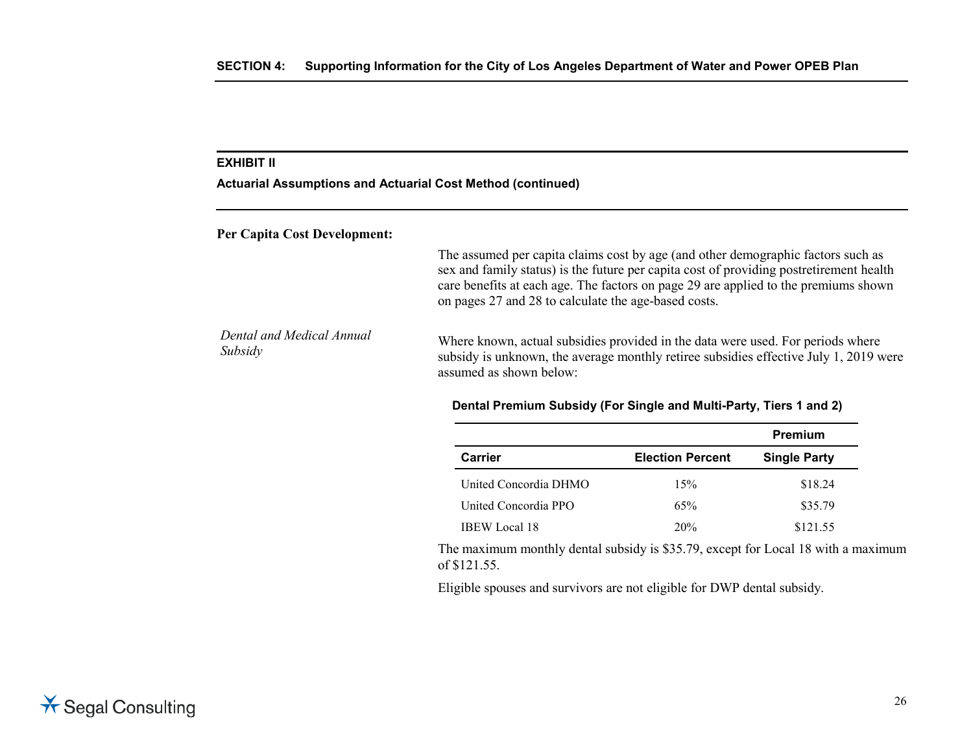#### **Actuarial Assumptions and Actuarial Cost Method (continued)**

**Per Capita Cost Development:**

The assumed per capita claims cost by age (and other demographic factors such as sex and family status) is the future per capita cost of providing postretirement health care benefits at each age. The factors on page 29 are applied to the premiums shown on pages 27 and 28 to calculate the age-based costs.

*Dental and Medical Annual Dental and Medical Annual* Where known, actual subsidies provided in the data were used. For periods where Subsidy<br>Subsidy subsidy is unknown, the average monthly rating subsidies effective July 1, 2010 w subsidy is unknown, the average monthly retiree subsidies effective July 1, 2019 were assumed as shown below:

#### **Dental Premium Subsidy (For Single and Multi-Party, Tiers 1 and 2)**

|                       |                         | Premium             |
|-----------------------|-------------------------|---------------------|
| Carrier               | <b>Election Percent</b> | <b>Single Party</b> |
| United Concordia DHMO | 15%                     | \$18.24             |
| United Concordia PPO  | 65%                     | \$35.79             |
| <b>IBEW</b> Local 18  | 20%                     | \$121.55            |

The maximum monthly dental subsidy is \$35.79, except for Local 18 with a maximum of \$121.55.

Eligible spouses and survivors are not eligible for DWP dental subsidy.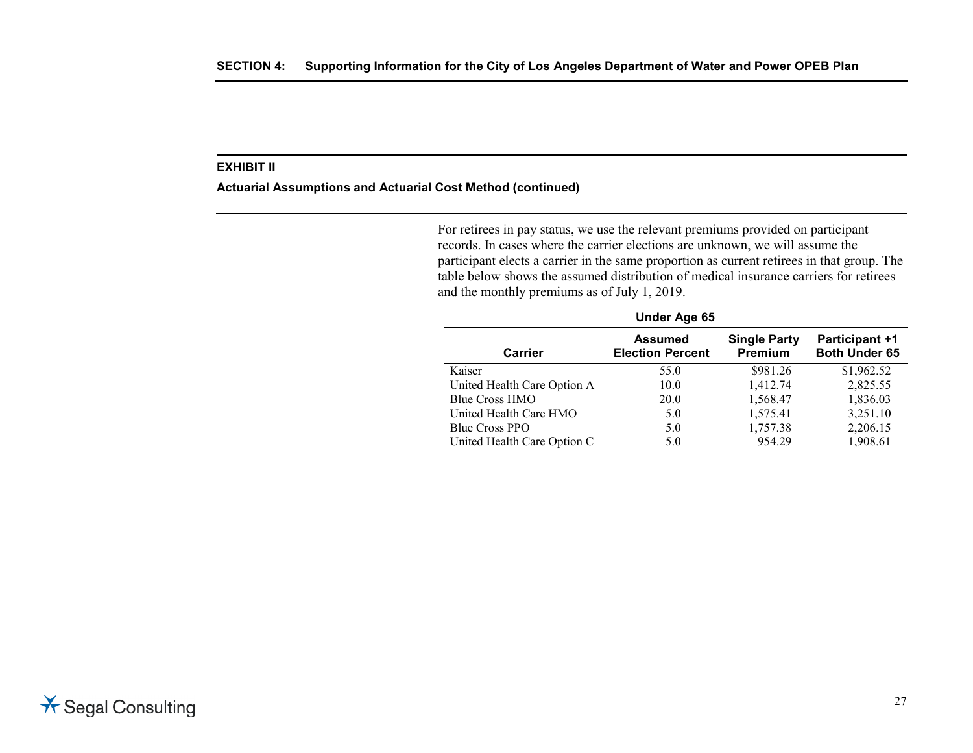#### **Actuarial Assumptions and Actuarial Cost Method (continued)**

For retirees in pay status, we use the relevant premiums provided on participant records. In cases where the carrier elections are unknown, we will assume the participant elects a carrier in the same proportion as current retirees in that group. The table below shows the assumed distribution of medical insurance carriers for retirees and the monthly premiums as of July 1, 2019.

| <b>Under Age 65</b>         |                                           |                                |                                        |
|-----------------------------|-------------------------------------------|--------------------------------|----------------------------------------|
| <b>Carrier</b>              | <b>Assumed</b><br><b>Election Percent</b> | <b>Single Party</b><br>Premium | Participant +1<br><b>Both Under 65</b> |
| Kaiser                      | 55.0                                      | \$981.26                       | \$1,962.52                             |
| United Health Care Option A | 10.0                                      | 1,412.74                       | 2,825.55                               |
| Blue Cross HMO              | <b>20.0</b>                               | 1,568.47                       | 1,836.03                               |
| United Health Care HMO      | 5.0                                       | 1,575.41                       | 3,251.10                               |
| <b>Blue Cross PPO</b>       | 5.0                                       | 1,757.38                       | 2,206.15                               |
| United Health Care Option C | 5.0                                       | 954.29                         | 1,908.61                               |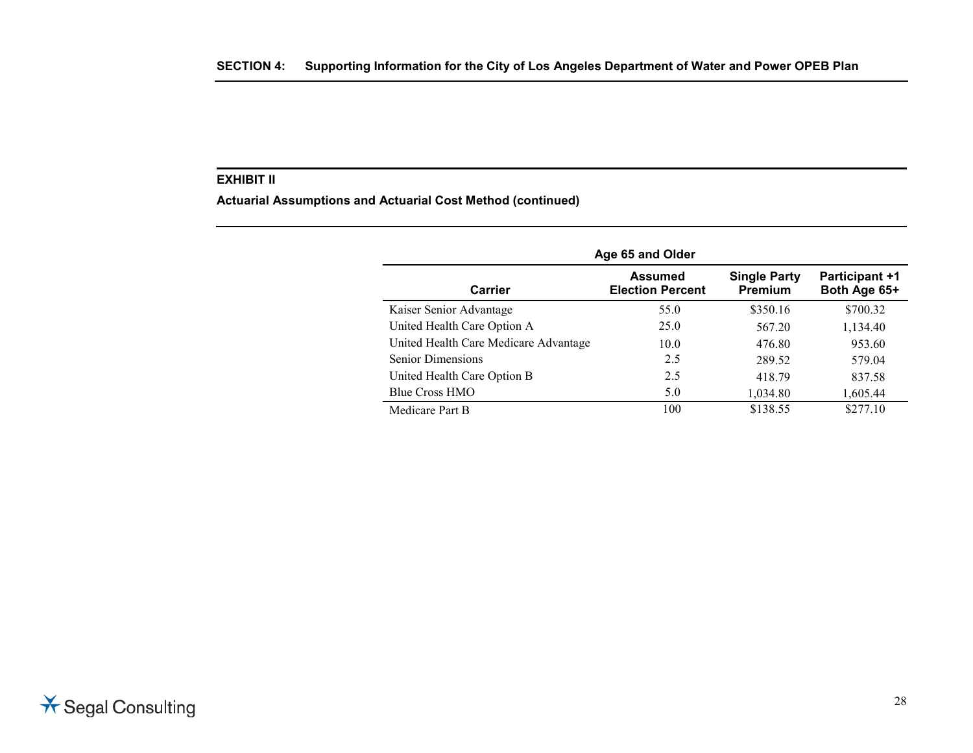**Actuarial Assumptions and Actuarial Cost Method (continued)**

|                                       | Age 65 and Older                          |                                       |                                       |
|---------------------------------------|-------------------------------------------|---------------------------------------|---------------------------------------|
| Carrier                               | <b>Assumed</b><br><b>Election Percent</b> | <b>Single Party</b><br><b>Premium</b> | <b>Participant +1</b><br>Both Age 65+ |
| Kaiser Senior Advantage               | 55.0                                      | \$350.16                              | \$700.32                              |
| United Health Care Option A           | 25.0                                      | 567.20                                | 1,134.40                              |
| United Health Care Medicare Advantage | 10.0                                      | 476.80                                | 953.60                                |
| <b>Senior Dimensions</b>              | 2.5                                       | 289.52                                | 579.04                                |
| United Health Care Option B           | 2.5                                       | 418.79                                | 837.58                                |
| Blue Cross HMO                        | 5.0                                       | 1,034.80                              | 1,605.44                              |
| Medicare Part B                       | 100                                       | \$138.55                              | \$277.10                              |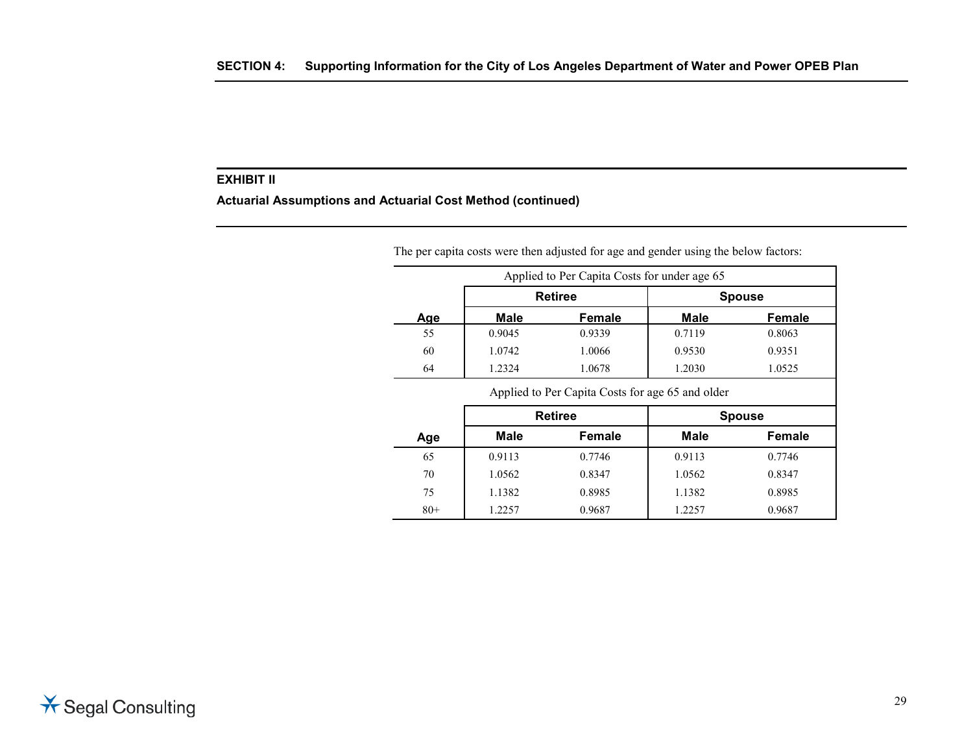**Actuarial Assumptions and Actuarial Cost Method (continued)**

|     |        | Applied to Per Capita Costs for under age 65 |             |               |
|-----|--------|----------------------------------------------|-------------|---------------|
| Age |        | <b>Retiree</b>                               |             | <b>Spouse</b> |
|     | Male   | <b>Female</b>                                | <b>Male</b> | <b>Female</b> |
| 55  | 0.9045 | 0.9339                                       | 0.7119      | 0.8063        |
| 60  | 1.0742 | 1.0066                                       | 0.9530      | 0.9351        |
| 64  | 1.2324 | 1.0678                                       | 1.2030      | 1.0525        |

Applied to Per Capita Costs for age 65 and older

|       | <b>Retiree</b> |        |             | <b>Spouse</b> |
|-------|----------------|--------|-------------|---------------|
| Age   | <b>Male</b>    | Female | <b>Male</b> | Female        |
| 65    | 0.9113         | 0.7746 | 0.9113      | 0.7746        |
| 70    | 1.0562         | 0.8347 | 1.0562      | 0.8347        |
| 75    | 1.1382         | 0.8985 | 1.1382      | 0.8985        |
| $80+$ | 1.2257         | 0.9687 | 1.2257      | 0.9687        |

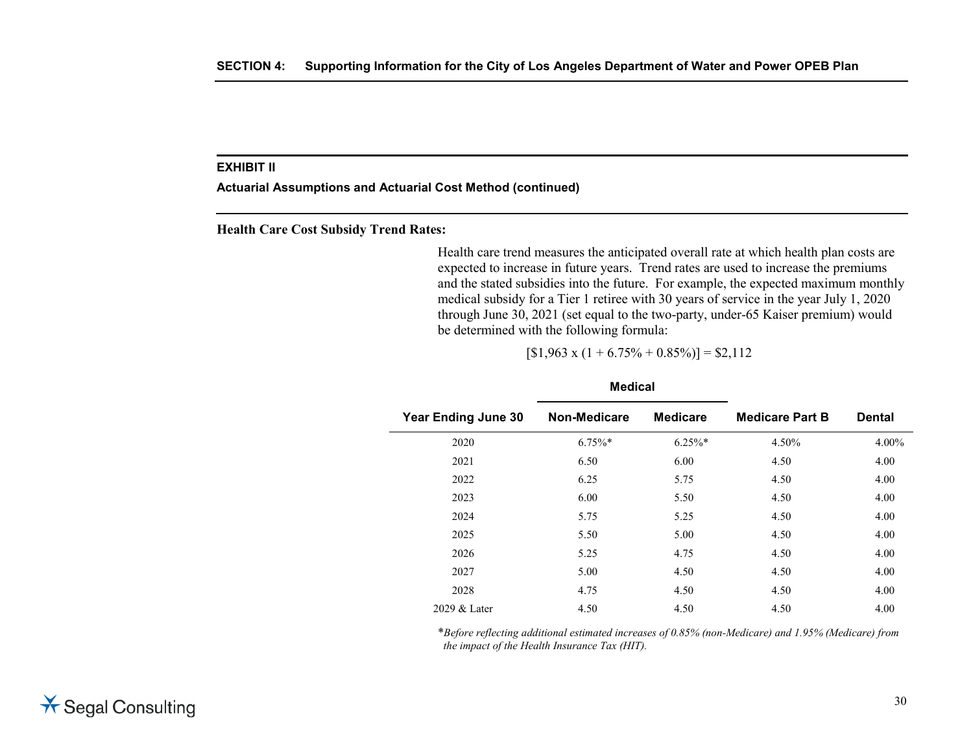**Actuarial Assumptions and Actuarial Cost Method (continued)**

**Health Care Cost Subsidy Trend Rates:**

Health care trend measures the anticipated overall rate at which health plan costs are expected to increase in future years. Trend rates are used to increase the premiums and the stated subsidies into the future. For example, the expected maximum monthly medical subsidy for a Tier 1 retiree with 30 years of service in the year July 1, 2020 through June 30, 2021 (set equal to the two-party, under-65 Kaiser premium) would be determined with the following formula:

 $[$1,963 \times (1 + 6.75\% + 0.85\%)] = $2,112$ 

| <b>Year Ending June 30</b> | Non-Medicare | <b>Medicare</b> | <b>Medicare Part B</b> | <b>Dental</b> |
|----------------------------|--------------|-----------------|------------------------|---------------|
| 2020                       | $6.75\%$ *   | $6.25\%$ *      | 4.50%                  | 4.00%         |
| 2021                       | 6.50         | 6.00            | 4.50                   | 4.00          |
| 2022                       | 6.25         | 5.75            | 4.50                   | 4.00          |
| 2023                       | 6.00         | 5.50            | 4.50                   | 4.00          |
| 2024                       | 5.75         | 5.25            | 4.50                   | 4.00          |
| 2025                       | 5.50         | 5.00            | 4.50                   | 4.00          |
| 2026                       | 5.25         | 4.75            | 4.50                   | 4.00          |
| 2027                       | 5.00         | 4.50            | 4.50                   | 4.00          |
| 2028                       | 4.75         | 4.50            | 4.50                   | 4.00          |
| 2029 & Later               | 4.50         | 4.50            | 4.50                   | 4.00          |
|                            |              |                 |                        |               |

#### **Medical**

\**Before reflecting additional estimated increases of 0.85% (non-Medicare) and 1.95% (Medicare) from the impact of the Health Insurance Tax (HIT).*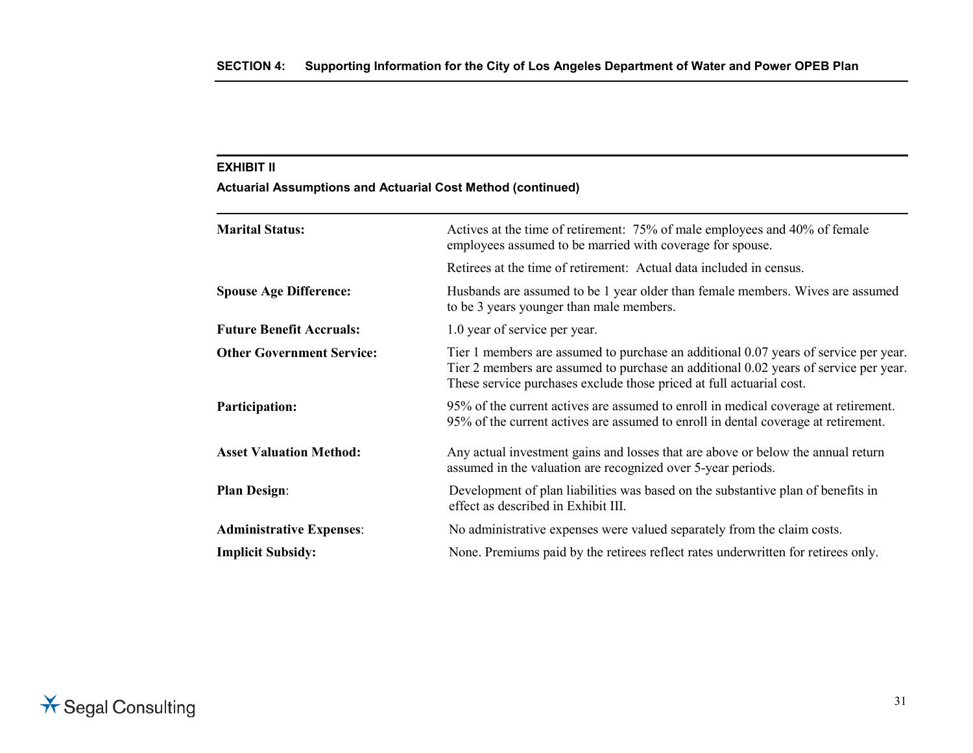### **Actuarial Assumptions and Actuarial Cost Method (continued)**

| <b>Marital Status:</b>           | Actives at the time of retirement: 75% of male employees and 40% of female<br>employees assumed to be married with coverage for spouse.                                                                                                              |
|----------------------------------|------------------------------------------------------------------------------------------------------------------------------------------------------------------------------------------------------------------------------------------------------|
|                                  | Retirees at the time of retirement: Actual data included in census.                                                                                                                                                                                  |
| <b>Spouse Age Difference:</b>    | Husbands are assumed to be 1 year older than female members. Wives are assumed<br>to be 3 years younger than male members.                                                                                                                           |
| <b>Future Benefit Accruals:</b>  | 1.0 year of service per year.                                                                                                                                                                                                                        |
| <b>Other Government Service:</b> | Tier 1 members are assumed to purchase an additional 0.07 years of service per year.<br>Tier 2 members are assumed to purchase an additional 0.02 years of service per year.<br>These service purchases exclude those priced at full actuarial cost. |
| <b>Participation:</b>            | 95% of the current actives are assumed to enroll in medical coverage at retirement.<br>95% of the current actives are assumed to enroll in dental coverage at retirement.                                                                            |
| <b>Asset Valuation Method:</b>   | Any actual investment gains and losses that are above or below the annual return<br>assumed in the valuation are recognized over 5-year periods.                                                                                                     |
| <b>Plan Design:</b>              | Development of plan liabilities was based on the substantive plan of benefits in<br>effect as described in Exhibit III.                                                                                                                              |
| <b>Administrative Expenses:</b>  | No administrative expenses were valued separately from the claim costs.                                                                                                                                                                              |
| <b>Implicit Subsidy:</b>         | None. Premiums paid by the retirees reflect rates underwritten for retirees only.                                                                                                                                                                    |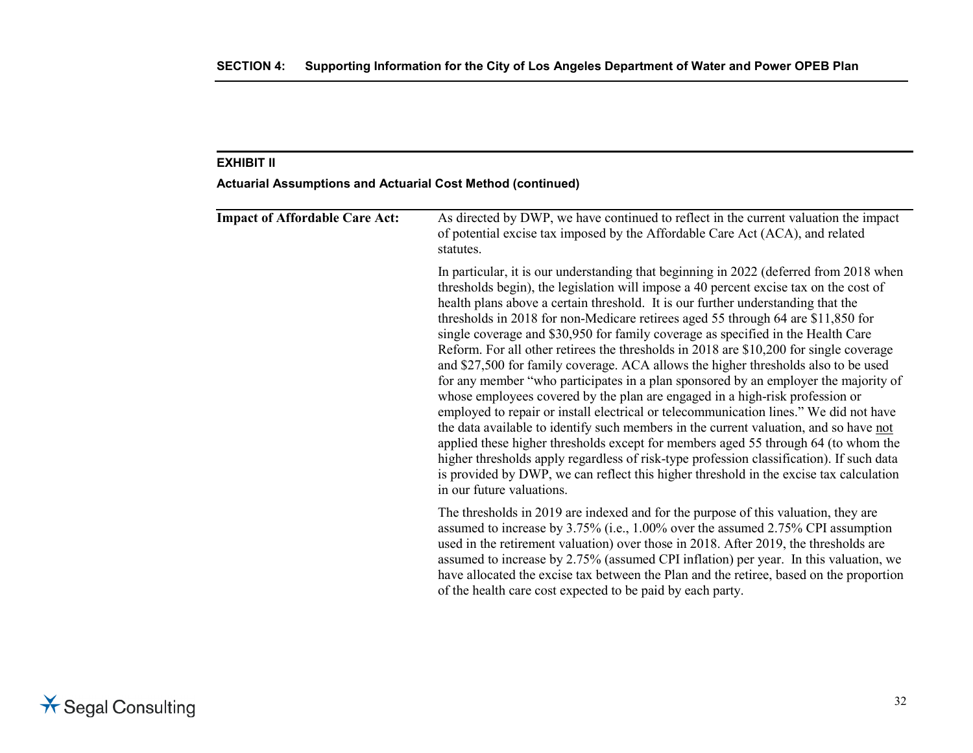### **Actuarial Assumptions and Actuarial Cost Method (continued)**

| <b>Impact of Affordable Care Act:</b> | As directed by DWP, we have continued to reflect in the current valuation the impact<br>of potential excise tax imposed by the Affordable Care Act (ACA), and related<br>statutes.                                                                                                                                                                                                                                                                                                                                                                                                                                                                                                                                                                                                                                                                                                                                                                                                                                                                                                                                                                                                                                                                                                            |
|---------------------------------------|-----------------------------------------------------------------------------------------------------------------------------------------------------------------------------------------------------------------------------------------------------------------------------------------------------------------------------------------------------------------------------------------------------------------------------------------------------------------------------------------------------------------------------------------------------------------------------------------------------------------------------------------------------------------------------------------------------------------------------------------------------------------------------------------------------------------------------------------------------------------------------------------------------------------------------------------------------------------------------------------------------------------------------------------------------------------------------------------------------------------------------------------------------------------------------------------------------------------------------------------------------------------------------------------------|
|                                       | In particular, it is our understanding that beginning in 2022 (deferred from 2018 when<br>thresholds begin), the legislation will impose a 40 percent excise tax on the cost of<br>health plans above a certain threshold. It is our further understanding that the<br>thresholds in 2018 for non-Medicare retirees aged 55 through 64 are \$11,850 for<br>single coverage and \$30,950 for family coverage as specified in the Health Care<br>Reform. For all other retirees the thresholds in 2018 are \$10,200 for single coverage<br>and \$27,500 for family coverage. ACA allows the higher thresholds also to be used<br>for any member "who participates in a plan sponsored by an employer the majority of<br>whose employees covered by the plan are engaged in a high-risk profession or<br>employed to repair or install electrical or telecommunication lines." We did not have<br>the data available to identify such members in the current valuation, and so have not<br>applied these higher thresholds except for members aged 55 through 64 (to whom the<br>higher thresholds apply regardless of risk-type profession classification). If such data<br>is provided by DWP, we can reflect this higher threshold in the excise tax calculation<br>in our future valuations. |
|                                       | The thresholds in 2019 are indexed and for the purpose of this valuation, they are<br>assumed to increase by 3.75% (i.e., 1.00% over the assumed 2.75% CPI assumption<br>used in the retirement valuation) over those in 2018. After 2019, the thresholds are<br>assumed to increase by 2.75% (assumed CPI inflation) per year. In this valuation, we<br>have allocated the excise tax between the Plan and the retiree, based on the proportion<br>of the health care cost expected to be paid by each party.                                                                                                                                                                                                                                                                                                                                                                                                                                                                                                                                                                                                                                                                                                                                                                                |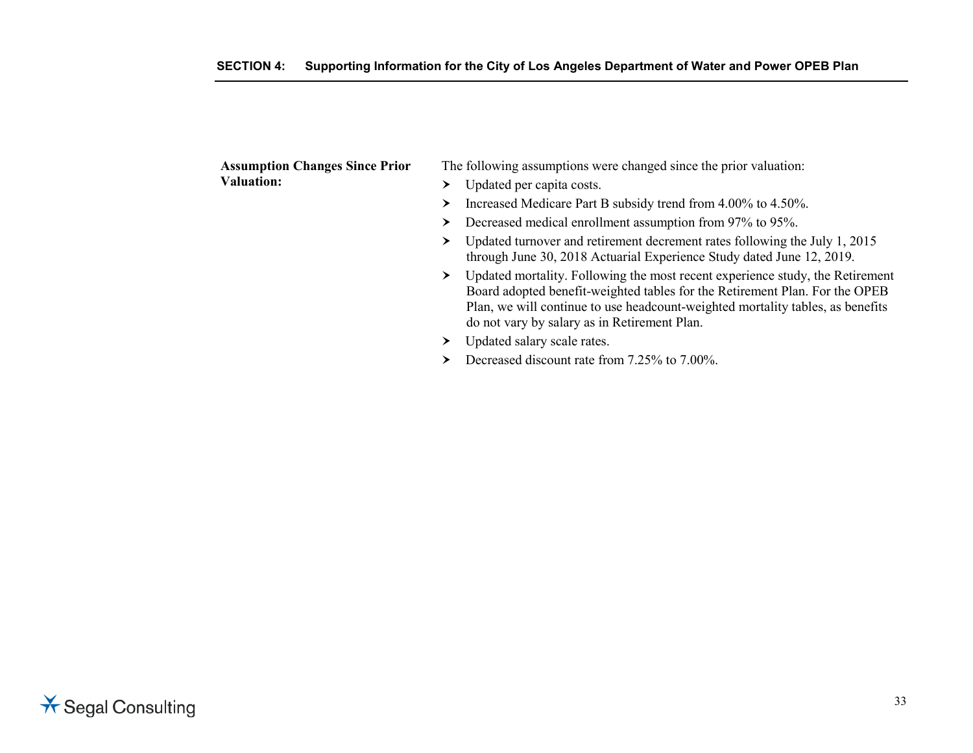| <b>Assumption Changes Since Prior</b> | The following assumptions were changed since the prior valuation:                                                                                                                                                                                                                                   |
|---------------------------------------|-----------------------------------------------------------------------------------------------------------------------------------------------------------------------------------------------------------------------------------------------------------------------------------------------------|
| <b>Valuation:</b>                     | Updated per capita costs.                                                                                                                                                                                                                                                                           |
|                                       | Increased Medicare Part B subsidy trend from 4.00% to 4.50%.<br>▸                                                                                                                                                                                                                                   |
|                                       | Decreased medical enrollment assumption from 97% to 95%.<br>➤                                                                                                                                                                                                                                       |
|                                       | Updated turnover and retirement decrement rates following the July 1, 2015<br>through June 30, 2018 Actuarial Experience Study dated June 12, 2019.                                                                                                                                                 |
|                                       | Updated mortality. Following the most recent experience study, the Retirement<br>≻<br>Board adopted benefit-weighted tables for the Retirement Plan. For the OPEB<br>Plan, we will continue to use headcount-weighted mortality tables, as benefits<br>do not vary by salary as in Retirement Plan. |
|                                       | Updated salary scale rates.                                                                                                                                                                                                                                                                         |
|                                       | Decreased discount rate from 7.25% to 7.00%.                                                                                                                                                                                                                                                        |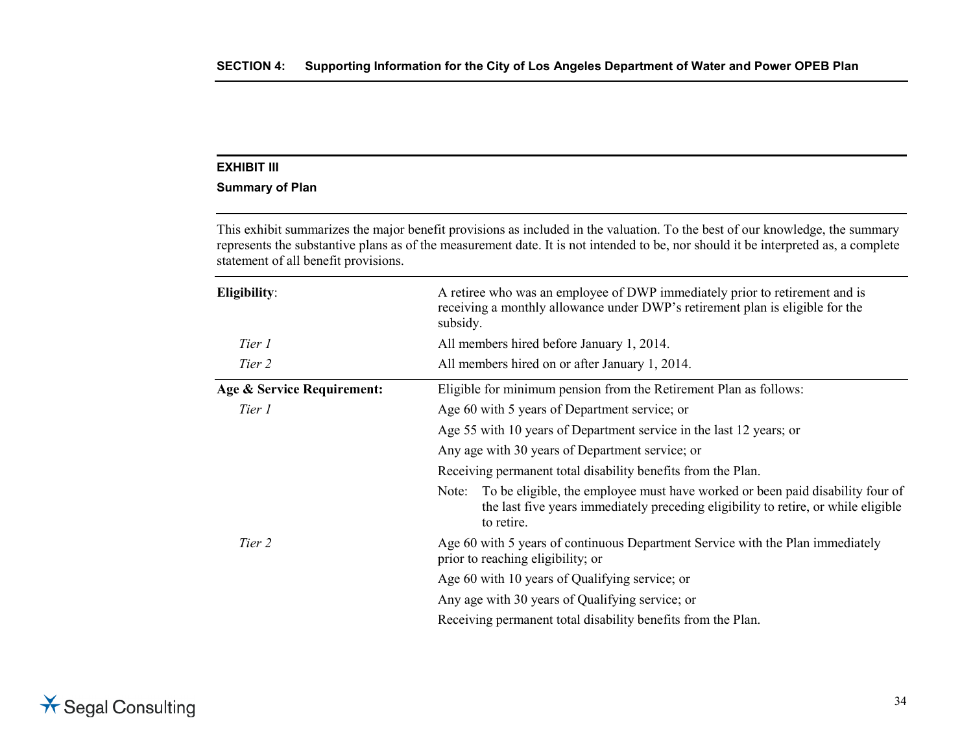#### **Summary of Plan**

This exhibit summarizes the major benefit provisions as included in the valuation. To the best of our knowledge, the summary represents the substantive plans as of the measurement date. It is not intended to be, nor should it be interpreted as, a complete statement of all benefit provisions.

| Eligibility:               | A retiree who was an employee of DWP immediately prior to retirement and is<br>receiving a monthly allowance under DWP's retirement plan is eligible for the<br>subsidy.                   |  |  |
|----------------------------|--------------------------------------------------------------------------------------------------------------------------------------------------------------------------------------------|--|--|
| Tier 1                     | All members hired before January 1, 2014.                                                                                                                                                  |  |  |
| Tier 2                     | All members hired on or after January 1, 2014.                                                                                                                                             |  |  |
| Age & Service Requirement: | Eligible for minimum pension from the Retirement Plan as follows:                                                                                                                          |  |  |
| Tier 1                     | Age 60 with 5 years of Department service; or                                                                                                                                              |  |  |
|                            | Age 55 with 10 years of Department service in the last 12 years; or                                                                                                                        |  |  |
|                            | Any age with 30 years of Department service; or                                                                                                                                            |  |  |
|                            | Receiving permanent total disability benefits from the Plan.                                                                                                                               |  |  |
|                            | To be eligible, the employee must have worked or been paid disability four of<br>Note:<br>the last five years immediately preceding eligibility to retire, or while eligible<br>to retire. |  |  |
| Tier 2                     | Age 60 with 5 years of continuous Department Service with the Plan immediately<br>prior to reaching eligibility; or                                                                        |  |  |
|                            | Age 60 with 10 years of Qualifying service; or                                                                                                                                             |  |  |
|                            | Any age with 30 years of Qualifying service; or                                                                                                                                            |  |  |
|                            | Receiving permanent total disability benefits from the Plan.                                                                                                                               |  |  |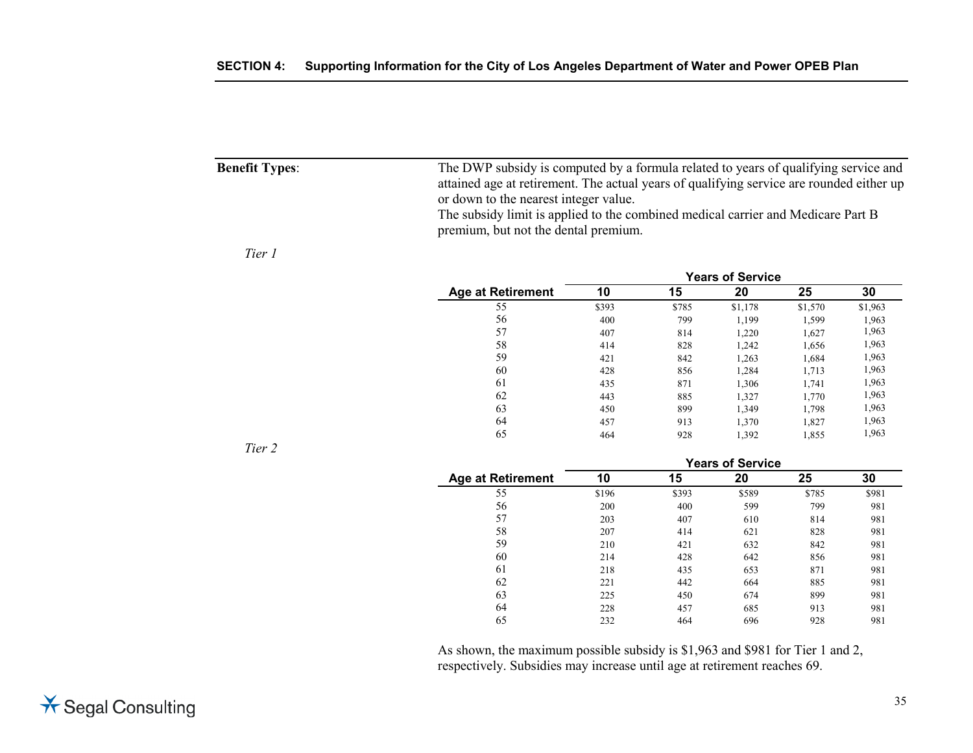| <b>Benefit Types:</b> | The DWP subsidy is computed by a formula related to years of qualifying service and                                      |
|-----------------------|--------------------------------------------------------------------------------------------------------------------------|
|                       | attained age at retirement. The actual years of qualifying service are rounded either up                                 |
|                       | or down to the nearest integer value.                                                                                    |
|                       | The subsidy limit is applied to the combined medical carrier and Medicare Part B<br>premium, but not the dental premium. |
|                       |                                                                                                                          |

#### *Tier 1*

|                          | <b>Years of Service</b> |       |         |         |         |
|--------------------------|-------------------------|-------|---------|---------|---------|
| <b>Age at Retirement</b> | 10                      | 15    | 20      | 25      | 30      |
| 55                       | \$393                   | \$785 | \$1,178 | \$1,570 | \$1,963 |
| 56                       | 400                     | 799   | 1,199   | 1,599   | 1,963   |
| 57                       | 407                     | 814   | 1,220   | 1,627   | 1,963   |
| 58                       | 414                     | 828   | 1,242   | 1,656   | 1,963   |
| 59                       | 421                     | 842   | 1,263   | 1,684   | 1,963   |
| 60                       | 428                     | 856   | 1,284   | 1,713   | 1,963   |
| 61                       | 435                     | 871   | 1,306   | 1,741   | 1,963   |
| 62                       | 443                     | 885   | 1,327   | 1,770   | 1,963   |
| 63                       | 450                     | 899   | 1,349   | 1.798   | 1,963   |
| 64                       | 457                     | 913   | 1,370   | 1,827   | 1,963   |
| 65                       | 464                     | 928   | 1,392   | 1,855   | 1,963   |

*Tier 2*

|                          | <b>Years of Service</b> |       |       |       |       |
|--------------------------|-------------------------|-------|-------|-------|-------|
| <b>Age at Retirement</b> | 10                      | 15    | 20    | 25    | 30    |
| 55                       | \$196                   | \$393 | \$589 | \$785 | \$981 |
| 56                       | 200                     | 400   | 599   | 799   | 981   |
| 57                       | 203                     | 407   | 610   | 814   | 981   |
| 58                       | 207                     | 414   | 621   | 828   | 981   |
| 59                       | 210                     | 421   | 632   | 842   | 981   |
| 60                       | 214                     | 428   | 642   | 856   | 981   |
| 61                       | 218                     | 435   | 653   | 871   | 981   |
| 62                       | 221                     | 442   | 664   | 885   | 981   |
| 63                       | 225                     | 450   | 674   | 899   | 981   |
| 64                       | 228                     | 457   | 685   | 913   | 981   |
| 65                       | 232                     | 464   | 696   | 928   | 981   |

As shown, the maximum possible subsidy is \$1,963 and \$981 for Tier 1 and 2, respectively. Subsidies may increase until age at retirement reaches 69.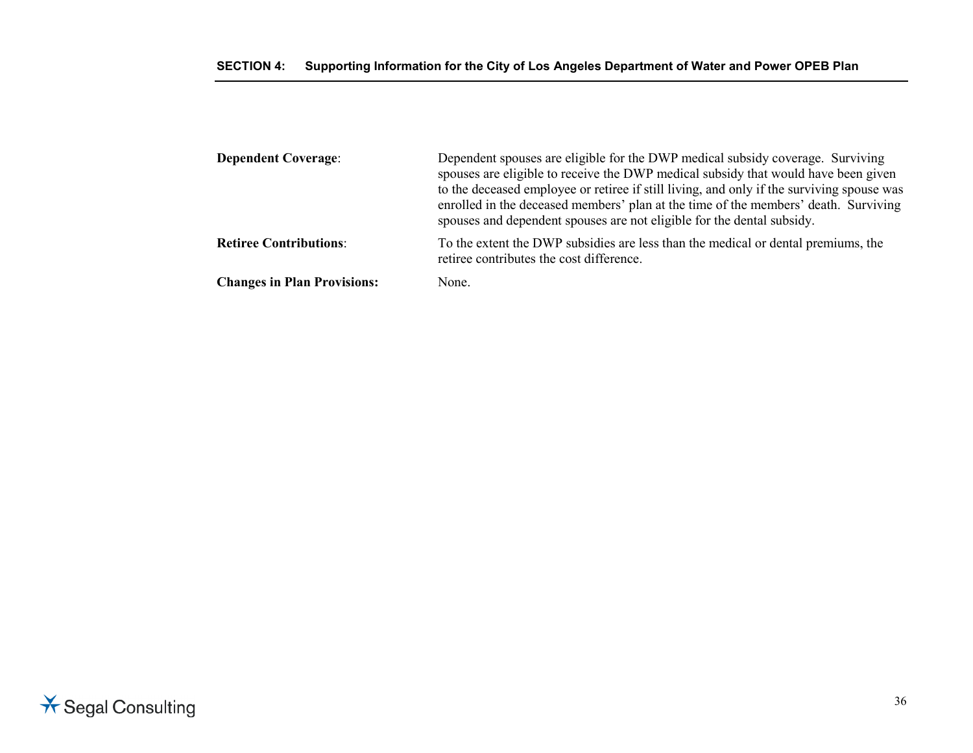| <b>Dependent Coverage:</b>         | Dependent spouses are eligible for the DWP medical subsidy coverage. Surviving<br>spouses are eligible to receive the DWP medical subsidy that would have been given<br>to the deceased employee or retiree if still living, and only if the surviving spouse was<br>enrolled in the deceased members' plan at the time of the members' death. Surviving<br>spouses and dependent spouses are not eligible for the dental subsidy. |
|------------------------------------|------------------------------------------------------------------------------------------------------------------------------------------------------------------------------------------------------------------------------------------------------------------------------------------------------------------------------------------------------------------------------------------------------------------------------------|
| <b>Retiree Contributions:</b>      | To the extent the DWP subsidies are less than the medical or dental premiums, the<br>retiree contributes the cost difference.                                                                                                                                                                                                                                                                                                      |
| <b>Changes in Plan Provisions:</b> | None.                                                                                                                                                                                                                                                                                                                                                                                                                              |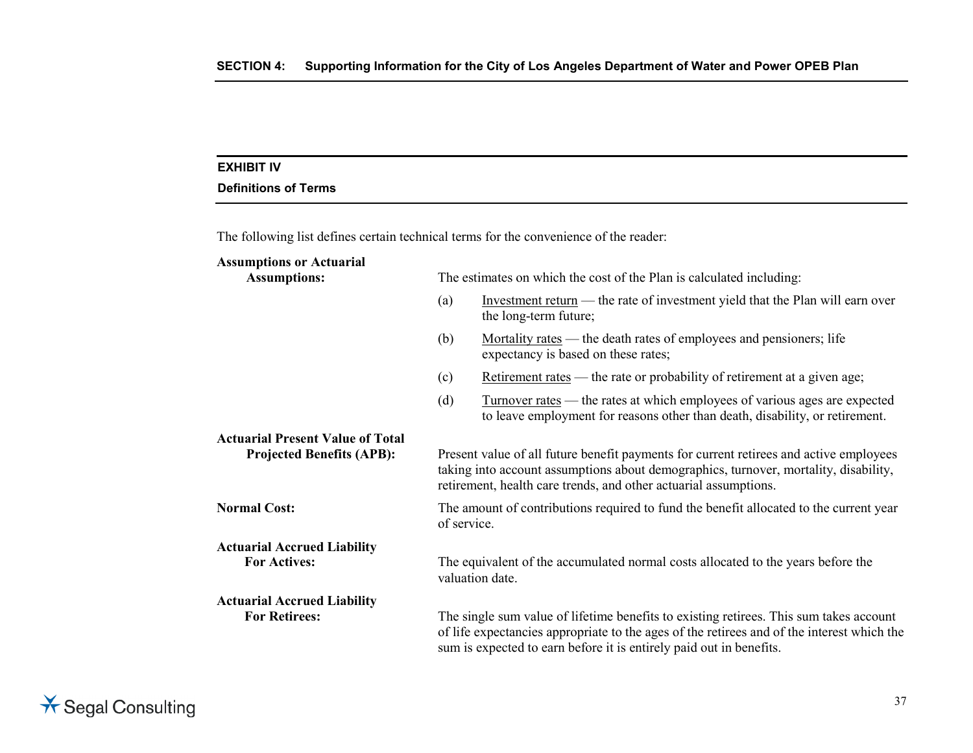# **EXHIBIT IV**

# **Definitions of Terms**

The following list defines certain technical terms for the convenience of the reader:

| <b>Assumptions or Actuarial</b><br><b>Assumptions:</b>                      |                                                                                                       | The estimates on which the cost of the Plan is calculated including:                                                                                                                                                                                        |  |  |  |
|-----------------------------------------------------------------------------|-------------------------------------------------------------------------------------------------------|-------------------------------------------------------------------------------------------------------------------------------------------------------------------------------------------------------------------------------------------------------------|--|--|--|
|                                                                             | (a)                                                                                                   | Investment return — the rate of investment yield that the Plan will earn over<br>the long-term future;                                                                                                                                                      |  |  |  |
|                                                                             | (b)                                                                                                   | Mortality rates — the death rates of employees and pensioners; life<br>expectancy is based on these rates;                                                                                                                                                  |  |  |  |
|                                                                             | (c)                                                                                                   | <u>Retirement rates</u> — the rate or probability of retirement at a given age;                                                                                                                                                                             |  |  |  |
|                                                                             | (d)                                                                                                   | Turnover rates — the rates at which employees of various ages are expected<br>to leave employment for reasons other than death, disability, or retirement.                                                                                                  |  |  |  |
| <b>Actuarial Present Value of Total</b><br><b>Projected Benefits (APB):</b> |                                                                                                       | Present value of all future benefit payments for current retirees and active employees<br>taking into account assumptions about demographics, turnover, mortality, disability,<br>retirement, health care trends, and other actuarial assumptions.          |  |  |  |
| <b>Normal Cost:</b>                                                         | The amount of contributions required to fund the benefit allocated to the current year<br>of service. |                                                                                                                                                                                                                                                             |  |  |  |
| <b>Actuarial Accrued Liability</b>                                          |                                                                                                       |                                                                                                                                                                                                                                                             |  |  |  |
| <b>For Actives:</b>                                                         |                                                                                                       | The equivalent of the accumulated normal costs allocated to the years before the<br>valuation date.                                                                                                                                                         |  |  |  |
| <b>Actuarial Accrued Liability</b>                                          |                                                                                                       |                                                                                                                                                                                                                                                             |  |  |  |
| <b>For Retirees:</b>                                                        |                                                                                                       | The single sum value of lifetime benefits to existing retirees. This sum takes account<br>of life expectancies appropriate to the ages of the retirees and of the interest which the<br>sum is expected to earn before it is entirely paid out in benefits. |  |  |  |